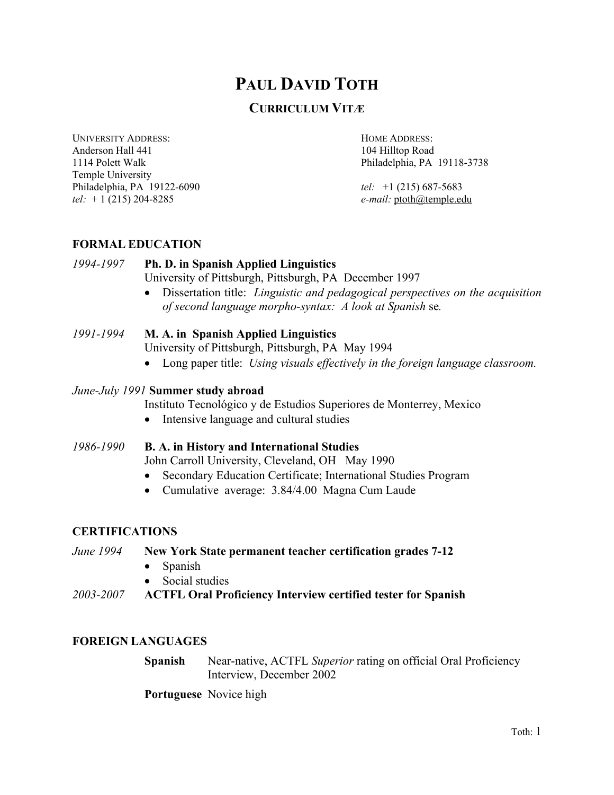# **PAUL DAVID TOTH**

## **CURRICULUM VITÆ**

UNIVERSITY ADDRESS: HOME ADDRESS: Anderson Hall 441 104 Hilltop Road 1114 Polett Walk Philadelphia, PA 19118-3738 Temple University Philadelphia, PA 19122-6090 *tel:* +1 (215) 687-5683 *tel:* + 1 (215) 204-8285 *e-mail:* ptoth@temple.edu

### **FORMAL EDUCATION**

### *1994-1997* **Ph. D. in Spanish Applied Linguistics**  University of Pittsburgh, Pittsburgh, PA December 1997

• Dissertation title: *Linguistic and pedagogical perspectives on the acquisition of second language morpho-syntax: A look at Spanish* se*.* 

## *1991-1994* **M. A. in Spanish Applied Linguistics**

University of Pittsburgh, Pittsburgh, PA May 1994

• Long paper title: *Using visuals effectively in the foreign language classroom.* 

## *June-July 1991* **Summer study abroad**

Instituto Tecnológico y de Estudios Superiores de Monterrey, Mexico

- Intensive language and cultural studies
- *1986-1990* **B. A. in History and International Studies** John Carroll University, Cleveland, OH May 1990 • Secondary Education Certificate; International Studies Program
	- Cumulative average: 3.84/4.00 Magna Cum Laude

### **CERTIFICATIONS**

*June 1994* **New York State permanent teacher certification grades 7-12**

- Spanish
- Social studies
- *2003-2007* **ACTFL Oral Proficiency Interview certified tester for Spanish**

### **FOREIGN LANGUAGES**

**Spanish** Near-native, ACTFL *Superior* rating on official Oral Proficiency Interview, December 2002

**Portuguese** Novice high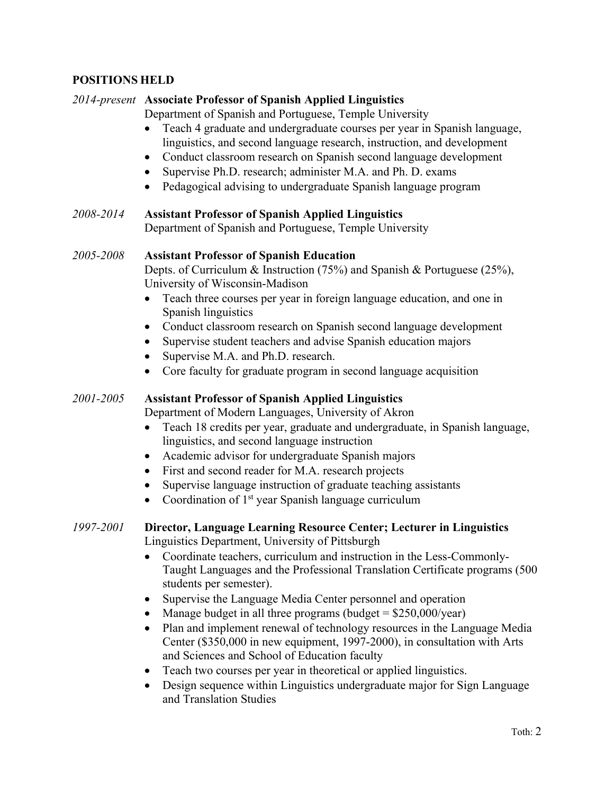## **POSITIONS HELD**

### *2014-present* **Associate Professor of Spanish Applied Linguistics**

Department of Spanish and Portuguese, Temple University

- Teach 4 graduate and undergraduate courses per year in Spanish language, linguistics, and second language research, instruction, and development
- Conduct classroom research on Spanish second language development
- Supervise Ph.D. research; administer M.A. and Ph. D. exams
- Pedagogical advising to undergraduate Spanish language program

### *2008-2014* **Assistant Professor of Spanish Applied Linguistics** Department of Spanish and Portuguese, Temple University

### *2005-2008* **Assistant Professor of Spanish Education**

Depts. of Curriculum & Instruction (75%) and Spanish & Portuguese (25%), University of Wisconsin-Madison

- Teach three courses per year in foreign language education, and one in Spanish linguistics
- Conduct classroom research on Spanish second language development
- Supervise student teachers and advise Spanish education majors
- Supervise M.A. and Ph.D. research.
- Core faculty for graduate program in second language acquisition

## *2001-2005* **Assistant Professor of Spanish Applied Linguistics**

Department of Modern Languages, University of Akron

- Teach 18 credits per year, graduate and undergraduate, in Spanish language, linguistics, and second language instruction
- Academic advisor for undergraduate Spanish majors
- First and second reader for M.A. research projects
- Supervise language instruction of graduate teaching assistants
- Coordination of  $1<sup>st</sup>$  year Spanish language curriculum

### *1997-2001* **Director, Language Learning Resource Center; Lecturer in Linguistics** Linguistics Department, University of Pittsburgh

- Coordinate teachers, curriculum and instruction in the Less-Commonly-Taught Languages and the Professional Translation Certificate programs (500 students per semester).
- Supervise the Language Media Center personnel and operation
- Manage budget in all three programs (budget  $= $250,000/\text{year}$ )
- Plan and implement renewal of technology resources in the Language Media Center (\$350,000 in new equipment, 1997-2000), in consultation with Arts and Sciences and School of Education faculty
- Teach two courses per year in theoretical or applied linguistics.
- Design sequence within Linguistics undergraduate major for Sign Language and Translation Studies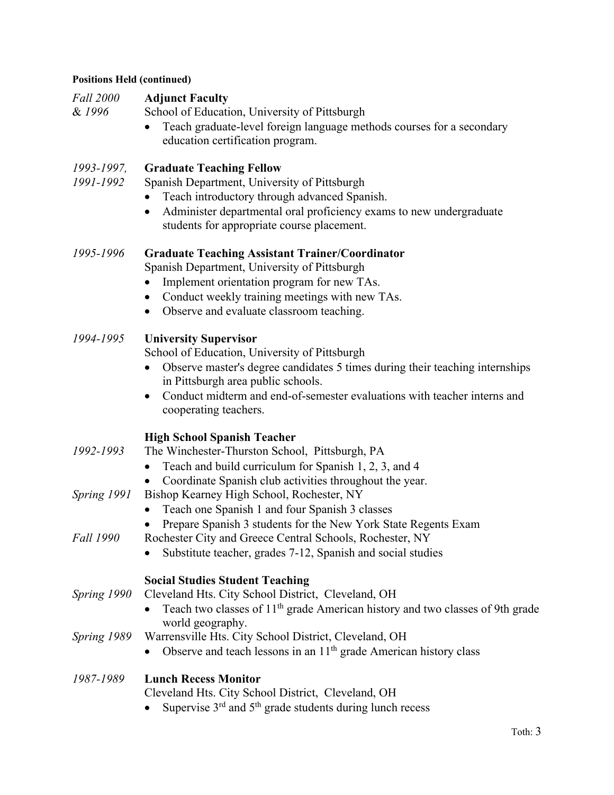## **Positions Held (continued)**

| <b>Fall 2000</b><br>& 1996 | <b>Adjunct Faculty</b><br>School of Education, University of Pittsburgh<br>Teach graduate-level foreign language methods courses for a secondary<br>education certification program.                                                                                                                                  |
|----------------------------|-----------------------------------------------------------------------------------------------------------------------------------------------------------------------------------------------------------------------------------------------------------------------------------------------------------------------|
| 1993-1997,<br>1991-1992    | <b>Graduate Teaching Fellow</b><br>Spanish Department, University of Pittsburgh<br>Teach introductory through advanced Spanish.<br>Administer departmental oral proficiency exams to new undergraduate<br>$\bullet$<br>students for appropriate course placement.                                                     |
| 1995-1996                  | <b>Graduate Teaching Assistant Trainer/Coordinator</b><br>Spanish Department, University of Pittsburgh<br>Implement orientation program for new TAs.<br>Conduct weekly training meetings with new TAs.<br>Observe and evaluate classroom teaching.                                                                    |
| 1994-1995                  | <b>University Supervisor</b><br>School of Education, University of Pittsburgh<br>Observe master's degree candidates 5 times during their teaching internships<br>$\bullet$<br>in Pittsburgh area public schools.<br>Conduct midterm and end-of-semester evaluations with teacher interns and<br>cooperating teachers. |
| 1992-1993                  | <b>High School Spanish Teacher</b><br>The Winchester-Thurston School, Pittsburgh, PA<br>Teach and build curriculum for Spanish 1, 2, 3, and 4                                                                                                                                                                         |
| Spring 1991                | Coordinate Spanish club activities throughout the year.<br>Bishop Kearney High School, Rochester, NY<br>Teach one Spanish 1 and four Spanish 3 classes                                                                                                                                                                |
| <b>Fall 1990</b>           | Prepare Spanish 3 students for the New York State Regents Exam<br>Rochester City and Greece Central Schools, Rochester, NY<br>Substitute teacher, grades 7-12, Spanish and social studies                                                                                                                             |
| Spring 1990                | <b>Social Studies Student Teaching</b><br>Cleveland Hts. City School District, Cleveland, OH<br>Teach two classes of 11 <sup>th</sup> grade American history and two classes of 9th grade                                                                                                                             |
| Spring 1989                | world geography.<br>Warrensville Hts. City School District, Cleveland, OH<br>Observe and teach lessons in an 11 <sup>th</sup> grade American history class                                                                                                                                                            |
| 1987-1989                  | <b>Lunch Recess Monitor</b><br>Cleveland Hts. City School District, Cleveland, OH<br>Supervise 3 <sup>rd</sup> and 5 <sup>th</sup> grade students during lunch recess                                                                                                                                                 |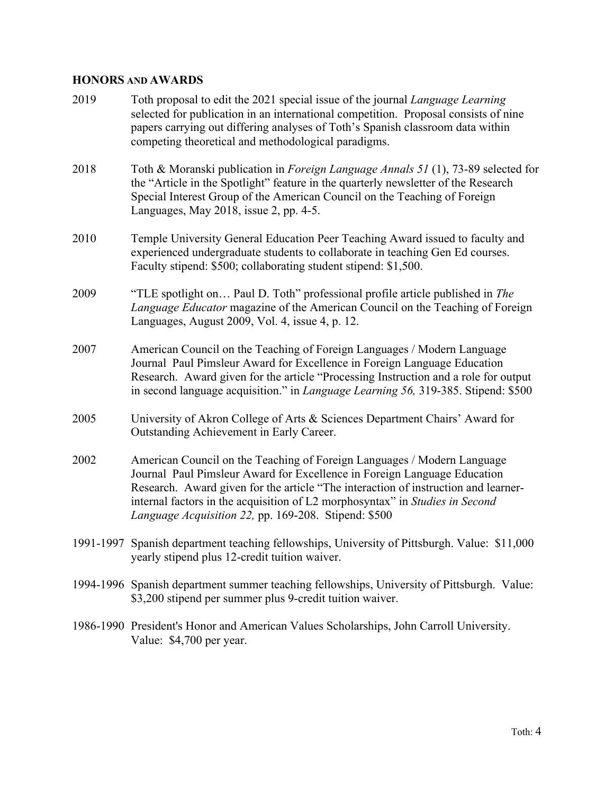## **HONORS AND AWARDS**

| 2019 | Toth proposal to edit the 2021 special issue of the journal <i>Language Learning</i><br>selected for publication in an international competition. Proposal consists of nine<br>papers carrying out differing analyses of Toth's Spanish classroom data within<br>competing theoretical and methodological paradigms.                                                              |
|------|-----------------------------------------------------------------------------------------------------------------------------------------------------------------------------------------------------------------------------------------------------------------------------------------------------------------------------------------------------------------------------------|
| 2018 | Toth & Moranski publication in Foreign Language Annals 51 (1), 73-89 selected for<br>the "Article in the Spotlight" feature in the quarterly newsletter of the Research<br>Special Interest Group of the American Council on the Teaching of Foreign<br>Languages, May 2018, issue 2, pp. 4-5.                                                                                    |
| 2010 | Temple University General Education Peer Teaching Award issued to faculty and<br>experienced undergraduate students to collaborate in teaching Gen Ed courses.<br>Faculty stipend: \$500; collaborating student stipend: \$1,500.                                                                                                                                                 |
| 2009 | "TLE spotlight on Paul D. Toth" professional profile article published in The<br>Language Educator magazine of the American Council on the Teaching of Foreign<br>Languages, August 2009, Vol. 4, issue 4, p. 12.                                                                                                                                                                 |
| 2007 | American Council on the Teaching of Foreign Languages / Modern Language<br>Journal Paul Pimsleur Award for Excellence in Foreign Language Education<br>Research. Award given for the article "Processing Instruction and a role for output<br>in second language acquisition." in <i>Language Learning 56</i> , 319-385. Stipend: \$500                                           |
| 2005 | University of Akron College of Arts & Sciences Department Chairs' Award for<br>Outstanding Achievement in Early Career.                                                                                                                                                                                                                                                           |
| 2002 | American Council on the Teaching of Foreign Languages / Modern Language<br>Journal Paul Pimsleur Award for Excellence in Foreign Language Education<br>Research. Award given for the article "The interaction of instruction and learner-<br>internal factors in the acquisition of L2 morphosyntax" in Studies in Second<br>Language Acquisition 22, pp. 169-208. Stipend: \$500 |
|      | 1991-1997 Spanish department teaching fellowships, University of Pittsburgh. Value: \$11,000<br>yearly stipend plus 12-credit tuition waiver.                                                                                                                                                                                                                                     |
|      | 1994-1996 Spanish department summer teaching fellowships, University of Pittsburgh. Value:<br>\$3,200 stipend per summer plus 9-credit tuition waiver.                                                                                                                                                                                                                            |
|      | 1986-1990 President's Honor and American Values Scholarships, John Carroll University.<br>Value: \$4,700 per year.                                                                                                                                                                                                                                                                |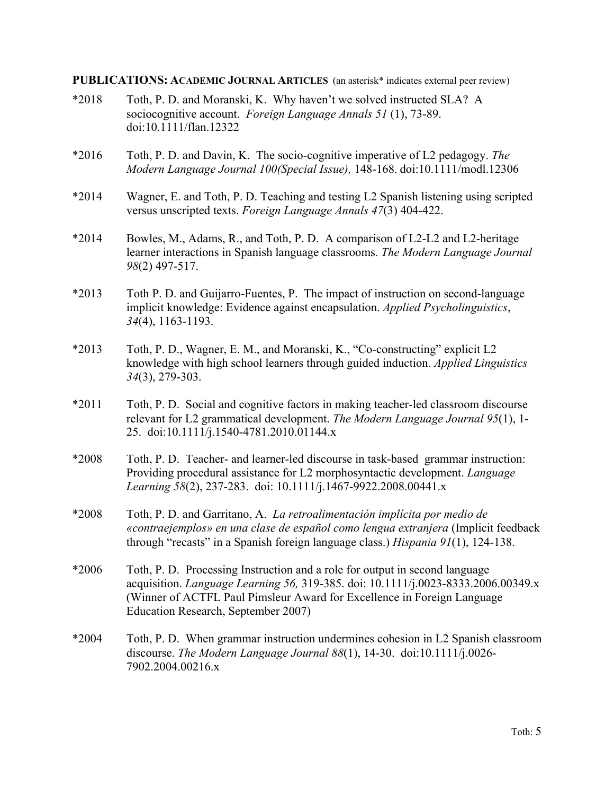### **PUBLICATIONS: ACADEMIC JOURNAL ARTICLES** (an asterisk\* indicates external peer review)

- \*2018 Toth, P. D. and Moranski, K. Why haven't we solved instructed SLA? A sociocognitive account. *Foreign Language Annals 51* (1), 73-89. doi:10.1111/flan.12322 \*2016 Toth, P. D. and Davin, K. The socio-cognitive imperative of L2 pedagogy. *The Modern Language Journal 100(Special Issue),* 148-168. doi:10.1111/modl.12306 \*2014 Wagner, E. and Toth, P. D. Teaching and testing L2 Spanish listening using scripted versus unscripted texts. *Foreign Language Annals 47*(3) 404-422. \*2014 Bowles, M., Adams, R., and Toth, P. D. A comparison of L2-L2 and L2-heritage learner interactions in Spanish language classrooms. *The Modern Language Journal 98*(2) 497-517. \*2013 Toth P. D. and Guijarro-Fuentes, P. The impact of instruction on second-language implicit knowledge: Evidence against encapsulation. *Applied Psycholinguistics*, *34*(4), 1163-1193. \*2013 Toth, P. D., Wagner, E. M., and Moranski, K., "Co-constructing" explicit L2 knowledge with high school learners through guided induction. *Applied Linguistics 34*(3), 279-303. \*2011 Toth, P. D. Social and cognitive factors in making teacher-led classroom discourse relevant for L2 grammatical development. *The Modern Language Journal 95*(1), 1- 25. doi:10.1111/j.1540-4781.2010.01144.x \*2008 Toth, P. D. Teacher- and learner-led discourse in task-based grammar instruction: Providing procedural assistance for L2 morphosyntactic development. *Language Learning 58*(2), 237-283. doi: 10.1111/j.1467-9922.2008.00441.x \*2008 Toth, P. D. and Garritano, A. *La retroalimentación implícita por medio de «contraejemplos» en una clase de español como lengua extranjera* (Implicit feedback through "recasts" in a Spanish foreign language class.) *Hispania 91*(1), 124-138. \*2006 Toth, P. D. Processing Instruction and a role for output in second language acquisition. *Language Learning 56,* 319-385. doi: 10.1111/j.0023-8333.2006.00349.x (Winner of ACTFL Paul Pimsleur Award for Excellence in Foreign Language Education Research, September 2007) \*2004 Toth, P. D. When grammar instruction undermines cohesion in L2 Spanish classroom discourse. *The Modern Language Journal 88*(1), 14-30. doi:10.1111/j.0026-
	- 7902.2004.00216.x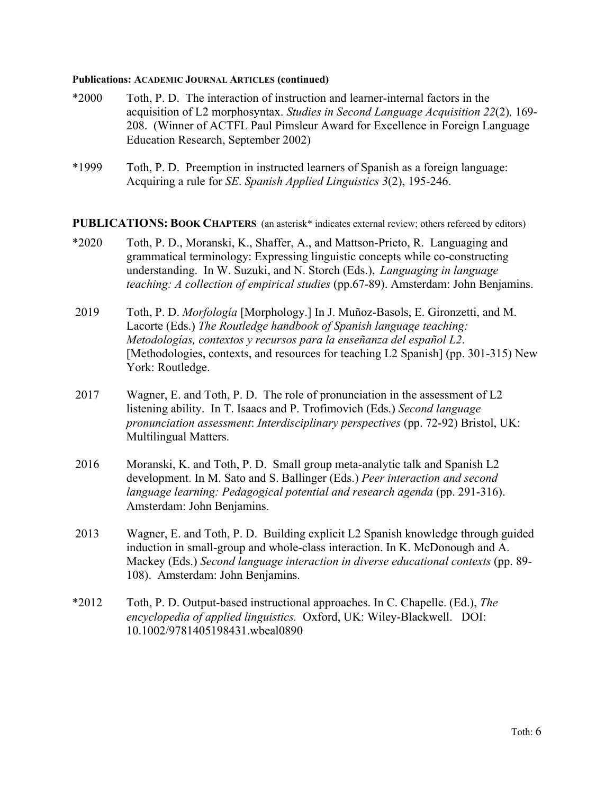#### **Publications: ACADEMIC JOURNAL ARTICLES (continued)**

- \*2000 Toth, P. D. The interaction of instruction and learner-internal factors in the acquisition of L2 morphosyntax. *Studies in Second Language Acquisition 22*(2)*,* 169- 208. (Winner of ACTFL Paul Pimsleur Award for Excellence in Foreign Language Education Research, September 2002)
- \*1999 Toth, P. D. Preemption in instructed learners of Spanish as a foreign language: Acquiring a rule for *SE*. *Spanish Applied Linguistics 3*(2), 195-246.

**PUBLICATIONS: BOOK CHAPTERS** (an asterisk\* indicates external review; others refereed by editors)

- \*2020 Toth, P. D., Moranski, K., Shaffer, A., and Mattson-Prieto, R. Languaging and grammatical terminology: Expressing linguistic concepts while co-constructing understanding. In W. Suzuki, and N. Storch (Eds.), *Languaging in language teaching: A collection of empirical studies* (pp.67-89). Amsterdam: John Benjamins.
- 2019 Toth, P. D. *Morfología* [Morphology.] In J. Muñoz-Basols, E. Gironzetti, and M. Lacorte (Eds.) *The Routledge handbook of Spanish language teaching: Metodologías, contextos y recursos para la enseñanza del español L2*. [Methodologies, contexts, and resources for teaching L2 Spanish] (pp. 301-315) New York: Routledge.
- 2017 Wagner, E. and Toth, P. D. The role of pronunciation in the assessment of L2 listening ability. In T. Isaacs and P. Trofimovich (Eds.) *Second language pronunciation assessment*: *Interdisciplinary perspectives* (pp. 72-92) Bristol, UK: Multilingual Matters.
- 2016 Moranski, K. and Toth, P. D. Small group meta-analytic talk and Spanish L2 development. In M. Sato and S. Ballinger (Eds.) *Peer interaction and second language learning: Pedagogical potential and research agenda* (pp. 291-316). Amsterdam: John Benjamins.
- 2013 Wagner, E. and Toth, P. D. Building explicit L2 Spanish knowledge through guided induction in small-group and whole-class interaction. In K. McDonough and A. Mackey (Eds.) *Second language interaction in diverse educational contexts* (pp. 89- 108). Amsterdam: John Benjamins.
- \*2012 Toth, P. D. Output-based instructional approaches. In C. Chapelle. (Ed.), *The encyclopedia of applied linguistics.* Oxford, UK: Wiley-Blackwell. DOI: 10.1002/9781405198431.wbeal0890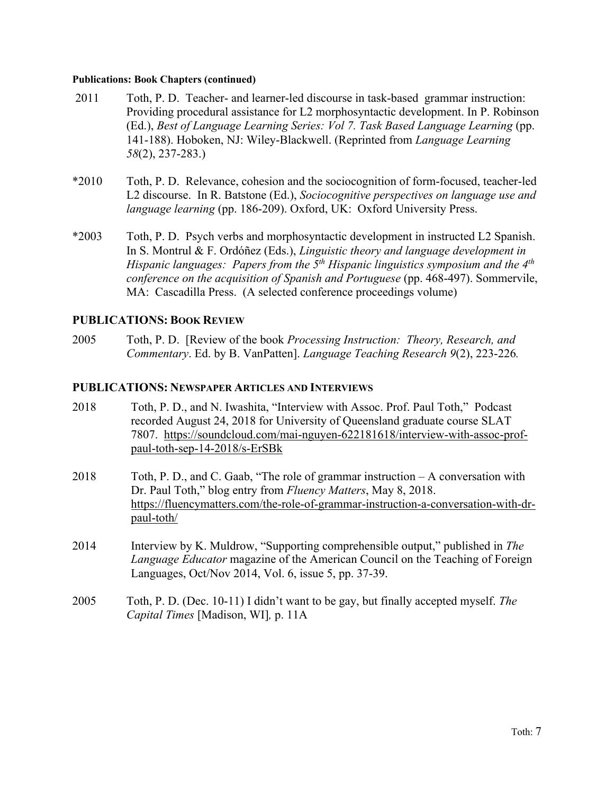### **Publications: Book Chapters (continued)**

- 2011 Toth, P. D. Teacher- and learner-led discourse in task-based grammar instruction: Providing procedural assistance for L2 morphosyntactic development. In P. Robinson (Ed.), *Best of Language Learning Series: Vol 7. Task Based Language Learning* (pp. 141-188). Hoboken, NJ: Wiley-Blackwell. (Reprinted from *Language Learning 58*(2), 237-283.)
- \*2010 Toth, P. D. Relevance, cohesion and the sociocognition of form-focused, teacher-led L2 discourse. In R. Batstone (Ed.), *Sociocognitive perspectives on language use and language learning (pp. 186-209).* Oxford, UK: Oxford University Press.
- \*2003 Toth, P. D. Psych verbs and morphosyntactic development in instructed L2 Spanish. In S. Montrul & F. Ordóñez (Eds.), *Linguistic theory and language development in Hispanic languages: Papers from the 5th Hispanic linguistics symposium and the 4th conference on the acquisition of Spanish and Portuguese* (pp. 468-497). Sommervile, MA: Cascadilla Press. (A selected conference proceedings volume)

### **PUBLICATIONS: BOOK REVIEW**

2005 Toth, P. D. [Review of the book *Processing Instruction: Theory, Research, and Commentary*. Ed. by B. VanPatten]. *Language Teaching Research 9*(2), 223-226*.*

### **PUBLICATIONS: NEWSPAPER ARTICLES AND INTERVIEWS**

- 2018 Toth, P. D., and N. Iwashita, "Interview with Assoc. Prof. Paul Toth," Podcast recorded August 24, 2018 for University of Queensland graduate course SLAT 7807. https://soundcloud.com/mai-nguyen-622181618/interview-with-assoc-profpaul-toth-sep-14-2018/s-ErSBk
- 2018 Toth, P. D., and C. Gaab, "The role of grammar instruction A conversation with Dr. Paul Toth," blog entry from *Fluency Matters*, May 8, 2018. https://fluencymatters.com/the-role-of-grammar-instruction-a-conversation-with-drpaul-toth/
- 2014 Interview by K. Muldrow, "Supporting comprehensible output," published in *The Language Educator* magazine of the American Council on the Teaching of Foreign Languages, Oct/Nov 2014, Vol. 6, issue 5, pp. 37-39.
- 2005 Toth, P. D. (Dec. 10-11) I didn't want to be gay, but finally accepted myself. *The Capital Times* [Madison, WI]*,* p. 11A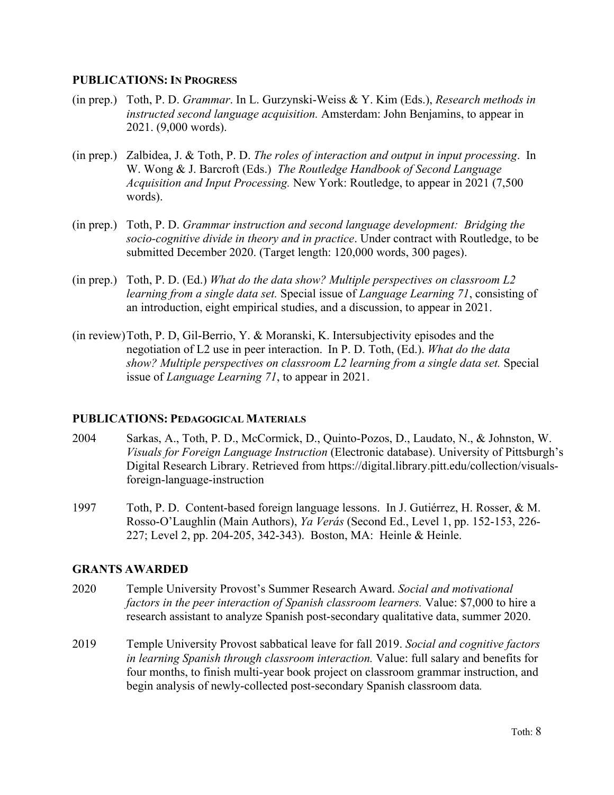### **PUBLICATIONS: IN PROGRESS**

- (in prep.) Toth, P. D. *Grammar*. In L. Gurzynski-Weiss & Y. Kim (Eds.), *Research methods in instructed second language acquisition.* Amsterdam: John Benjamins, to appear in 2021. (9,000 words).
- (in prep.) Zalbidea, J. & Toth, P. D. *The roles of interaction and output in input processing*. In W. Wong & J. Barcroft (Eds.) *The Routledge Handbook of Second Language Acquisition and Input Processing.* New York: Routledge, to appear in 2021 (7,500 words).
- (in prep.) Toth, P. D. *Grammar instruction and second language development: Bridging the socio-cognitive divide in theory and in practice*. Under contract with Routledge, to be submitted December 2020. (Target length: 120,000 words, 300 pages).
- (in prep.) Toth, P. D. (Ed.) *What do the data show? Multiple perspectives on classroom L2 learning from a single data set.* Special issue of *Language Learning 71*, consisting of an introduction, eight empirical studies, and a discussion, to appear in 2021.
- (in review)Toth, P. D, Gil-Berrio, Y. & Moranski, K. Intersubjectivity episodes and the negotiation of L2 use in peer interaction. In P. D. Toth, (Ed.). *What do the data show? Multiple perspectives on classroom L2 learning from a single data set.* Special issue of *Language Learning 71*, to appear in 2021.

### **PUBLICATIONS: PEDAGOGICAL MATERIALS**

- 2004 Sarkas, A., Toth, P. D., McCormick, D., Quinto-Pozos, D., Laudato, N., & Johnston, W. *Visuals for Foreign Language Instruction* (Electronic database). University of Pittsburgh's Digital Research Library. Retrieved from https://digital.library.pitt.edu/collection/visualsforeign-language-instruction
- 1997 Toth, P. D. Content-based foreign language lessons. In J. Gutiérrez, H. Rosser, & M. Rosso-O'Laughlin (Main Authors), *Ya Verás* (Second Ed., Level 1, pp. 152-153, 226- 227; Level 2, pp. 204-205, 342-343). Boston, MA: Heinle & Heinle.

### **GRANTS AWARDED**

- 2020 Temple University Provost's Summer Research Award. *Social and motivational factors in the peer interaction of Spanish classroom learners.* Value: \$7,000 to hire a research assistant to analyze Spanish post-secondary qualitative data, summer 2020.
- 2019 Temple University Provost sabbatical leave for fall 2019. *Social and cognitive factors in learning Spanish through classroom interaction.* Value: full salary and benefits for four months, to finish multi-year book project on classroom grammar instruction, and begin analysis of newly-collected post-secondary Spanish classroom data*.*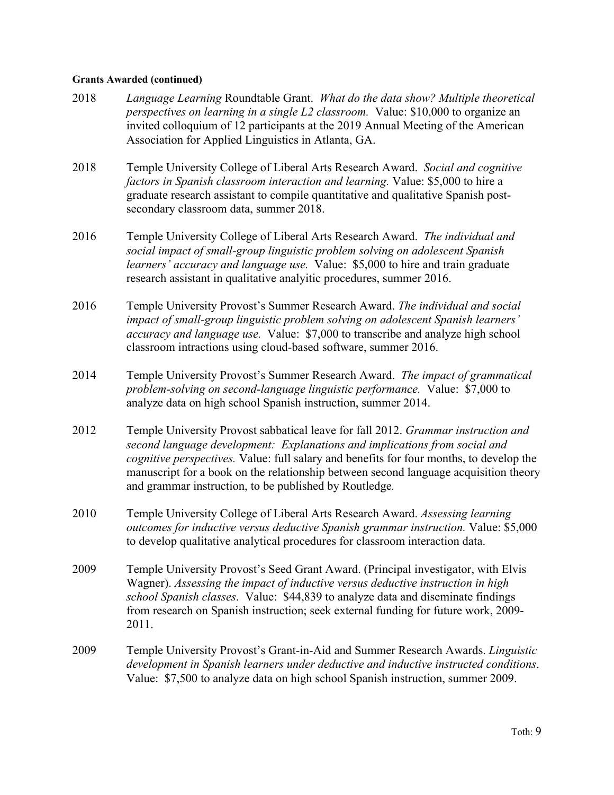### **Grants Awarded (continued)**

- 2018 *Language Learning* Roundtable Grant. *What do the data show? Multiple theoretical perspectives on learning in a single L2 classroom.* Value: \$10,000 to organize an invited colloquium of 12 participants at the 2019 Annual Meeting of the American Association for Applied Linguistics in Atlanta, GA.
- 2018 Temple University College of Liberal Arts Research Award. *Social and cognitive factors in Spanish classroom interaction and learning.* Value: \$5,000 to hire a graduate research assistant to compile quantitative and qualitative Spanish postsecondary classroom data, summer 2018.
- 2016 Temple University College of Liberal Arts Research Award. *The individual and social impact of small-group linguistic problem solving on adolescent Spanish learners' accuracy and language use.* Value: \$5,000 to hire and train graduate research assistant in qualitative analyitic procedures, summer 2016.
- 2016 Temple University Provost's Summer Research Award. *The individual and social impact of small-group linguistic problem solving on adolescent Spanish learners' accuracy and language use.* Value: \$7,000 to transcribe and analyze high school classroom intractions using cloud-based software, summer 2016.
- 2014 Temple University Provost's Summer Research Award. *The impact of grammatical problem-solving on second-language linguistic performance.* Value: \$7,000 to analyze data on high school Spanish instruction, summer 2014.
- 2012 Temple University Provost sabbatical leave for fall 2012. *Grammar instruction and second language development: Explanations and implications from social and cognitive perspectives.* Value: full salary and benefits for four months, to develop the manuscript for a book on the relationship between second language acquisition theory and grammar instruction, to be published by Routledge*.*
- 2010 Temple University College of Liberal Arts Research Award. *Assessing learning outcomes for inductive versus deductive Spanish grammar instruction.* Value: \$5,000 to develop qualitative analytical procedures for classroom interaction data.
- 2009 Temple University Provost's Seed Grant Award. (Principal investigator, with Elvis Wagner). *Assessing the impact of inductive versus deductive instruction in high school Spanish classes*. Value: \$44,839 to analyze data and diseminate findings from research on Spanish instruction; seek external funding for future work, 2009- 2011.
- 2009 Temple University Provost's Grant-in-Aid and Summer Research Awards. *Linguistic development in Spanish learners under deductive and inductive instructed conditions*. Value: \$7,500 to analyze data on high school Spanish instruction, summer 2009.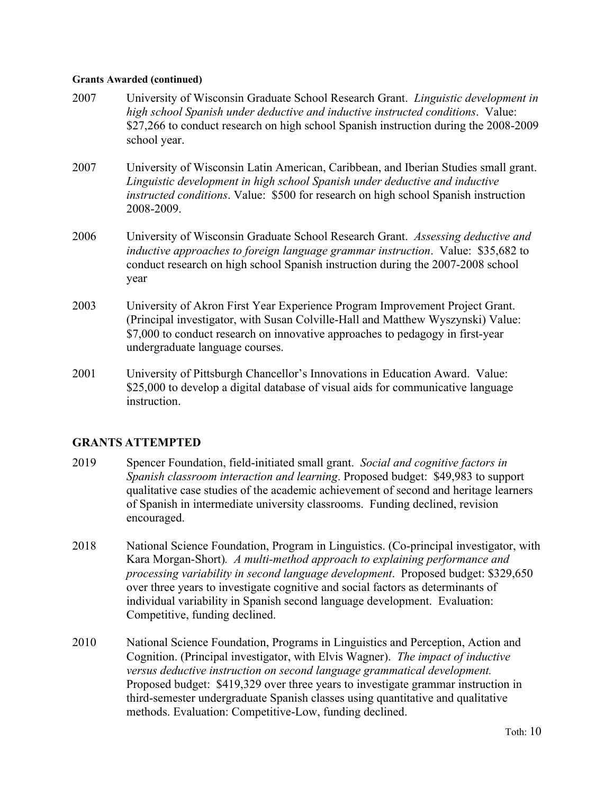### **Grants Awarded (continued)**

- 2007 University of Wisconsin Graduate School Research Grant. *Linguistic development in high school Spanish under deductive and inductive instructed conditions*. Value: \$27,266 to conduct research on high school Spanish instruction during the 2008-2009 school year.
- 2007 University of Wisconsin Latin American, Caribbean, and Iberian Studies small grant. *Linguistic development in high school Spanish under deductive and inductive instructed conditions*. Value: \$500 for research on high school Spanish instruction 2008-2009.
- 2006 University of Wisconsin Graduate School Research Grant. *Assessing deductive and inductive approaches to foreign language grammar instruction*. Value: \$35,682 to conduct research on high school Spanish instruction during the 2007-2008 school year
- 2003 University of Akron First Year Experience Program Improvement Project Grant. (Principal investigator, with Susan Colville-Hall and Matthew Wyszynski) Value: \$7,000 to conduct research on innovative approaches to pedagogy in first-year undergraduate language courses.
- 2001 University of Pittsburgh Chancellor's Innovations in Education Award. Value: \$25,000 to develop a digital database of visual aids for communicative language instruction.

## **GRANTS ATTEMPTED**

- 2019 Spencer Foundation, field-initiated small grant. *Social and cognitive factors in Spanish classroom interaction and learning*. Proposed budget: \$49,983 to support qualitative case studies of the academic achievement of second and heritage learners of Spanish in intermediate university classrooms. Funding declined, revision encouraged.
- 2018 National Science Foundation, Program in Linguistics. (Co-principal investigator, with Kara Morgan-Short)*. A multi-method approach to explaining performance and processing variability in second language development*. Proposed budget: \$329,650 over three years to investigate cognitive and social factors as determinants of individual variability in Spanish second language development. Evaluation: Competitive, funding declined.
- 2010 National Science Foundation, Programs in Linguistics and Perception, Action and Cognition. (Principal investigator, with Elvis Wagner). *The impact of inductive versus deductive instruction on second language grammatical development.* Proposed budget: \$419,329 over three years to investigate grammar instruction in third-semester undergraduate Spanish classes using quantitative and qualitative methods. Evaluation: Competitive-Low, funding declined.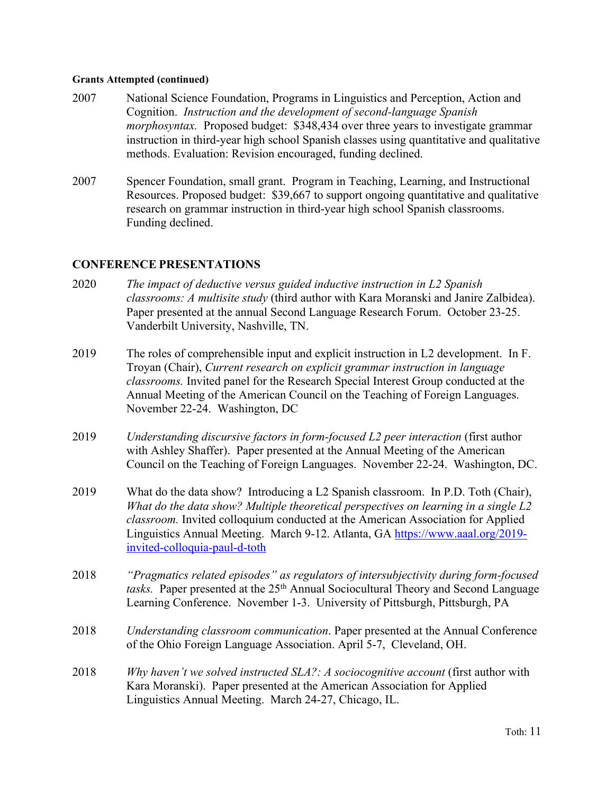### **Grants Attempted (continued)**

- 2007 National Science Foundation, Programs in Linguistics and Perception, Action and Cognition. *Instruction and the development of second-language Spanish morphosyntax.* Proposed budget: \$348,434 over three years to investigate grammar instruction in third-year high school Spanish classes using quantitative and qualitative methods. Evaluation: Revision encouraged, funding declined.
- 2007 Spencer Foundation, small grant. Program in Teaching, Learning, and Instructional Resources. Proposed budget: \$39,667 to support ongoing quantitative and qualitative research on grammar instruction in third-year high school Spanish classrooms. Funding declined.

### **CONFERENCE PRESENTATIONS**

- 2020 *The impact of deductive versus guided inductive instruction in L2 Spanish classrooms: A multisite study* (third author with Kara Moranski and Janire Zalbidea). Paper presented at the annual Second Language Research Forum. October 23-25. Vanderbilt University, Nashville, TN.
- 2019 The roles of comprehensible input and explicit instruction in L2 development. In F. Troyan (Chair), *Current research on explicit grammar instruction in language classrooms.* Invited panel for the Research Special Interest Group conducted at the Annual Meeting of the American Council on the Teaching of Foreign Languages. November 22-24. Washington, DC
- 2019 *Understanding discursive factors in form-focused L2 peer interaction* (first author with Ashley Shaffer). Paper presented at the Annual Meeting of the American Council on the Teaching of Foreign Languages. November 22-24. Washington, DC.
- 2019 What do the data show? Introducing a L2 Spanish classroom. In P.D. Toth (Chair), *What do the data show? Multiple theoretical perspectives on learning in a single L2 classroom.* Invited colloquium conducted at the American Association for Applied Linguistics Annual Meeting. March 9-12. Atlanta, GA https://www.aaal.org/2019 invited-colloquia-paul-d-toth
- 2018 *"Pragmatics related episodes" as regulators of intersubjectivity during form-focused*  tasks. Paper presented at the 25<sup>th</sup> Annual Sociocultural Theory and Second Language Learning Conference. November 1-3. University of Pittsburgh, Pittsburgh, PA
- 2018 *Understanding classroom communication*. Paper presented at the Annual Conference of the Ohio Foreign Language Association. April 5-7, Cleveland, OH.
- 2018 *Why haven't we solved instructed SLA?: A sociocognitive account* (first author with Kara Moranski). Paper presented at the American Association for Applied Linguistics Annual Meeting. March 24-27, Chicago, IL.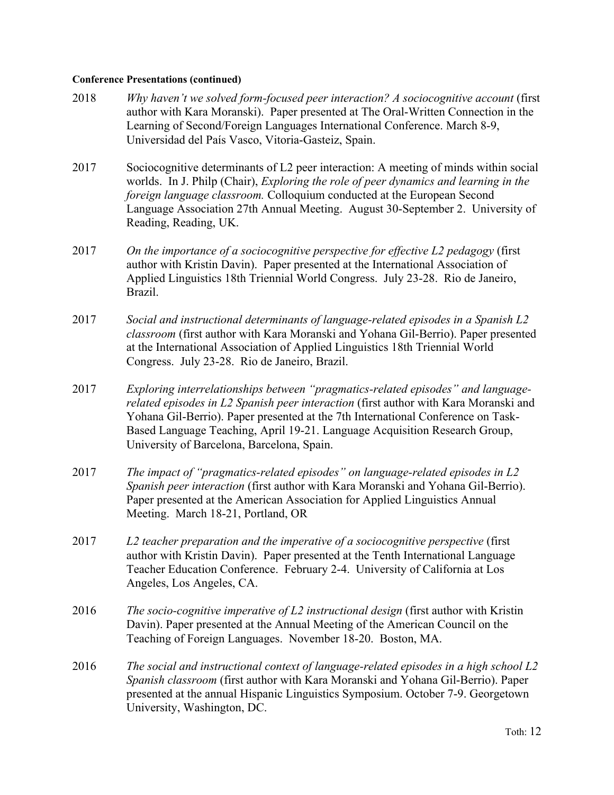- 2018 *Why haven't we solved form-focused peer interaction? A sociocognitive account* (first author with Kara Moranski). Paper presented at The Oral-Written Connection in the Learning of Second/Foreign Languages International Conference. March 8-9, Universidad del País Vasco, Vitoria-Gasteiz, Spain.
- 2017 Sociocognitive determinants of L2 peer interaction: A meeting of minds within social worlds. In J. Philp (Chair), *Exploring the role of peer dynamics and learning in the foreign language classroom.* Colloquium conducted at the European Second Language Association 27th Annual Meeting. August 30-September 2. University of Reading, Reading, UK.
- 2017 *On the importance of a sociocognitive perspective for effective L2 pedagogy* (first author with Kristin Davin). Paper presented at the International Association of Applied Linguistics 18th Triennial World Congress. July 23-28. Rio de Janeiro, Brazil.
- 2017 *Social and instructional determinants of language-related episodes in a Spanish L2 classroom* (first author with Kara Moranski and Yohana Gil-Berrio). Paper presented at the International Association of Applied Linguistics 18th Triennial World Congress. July 23-28. Rio de Janeiro, Brazil.
- 2017 *Exploring interrelationships between "pragmatics-related episodes" and languagerelated episodes in L2 Spanish peer interaction* (first author with Kara Moranski and Yohana Gil-Berrio). Paper presented at the 7th International Conference on Task-Based Language Teaching, April 19-21. Language Acquisition Research Group, University of Barcelona, Barcelona, Spain.
- 2017 *The impact of "pragmatics-related episodes" on language-related episodes in L2 Spanish peer interaction* (first author with Kara Moranski and Yohana Gil-Berrio). Paper presented at the American Association for Applied Linguistics Annual Meeting. March 18-21, Portland, OR
- 2017 *L2 teacher preparation and the imperative of a sociocognitive perspective* (first author with Kristin Davin). Paper presented at the Tenth International Language Teacher Education Conference. February 2-4. University of California at Los Angeles, Los Angeles, CA.
- 2016 *The socio-cognitive imperative of L2 instructional design* (first author with Kristin Davin). Paper presented at the Annual Meeting of the American Council on the Teaching of Foreign Languages. November 18-20. Boston, MA.
- 2016 *The social and instructional context of language-related episodes in a high school L2 Spanish classroom* (first author with Kara Moranski and Yohana Gil-Berrio). Paper presented at the annual Hispanic Linguistics Symposium. October 7-9. Georgetown University, Washington, DC.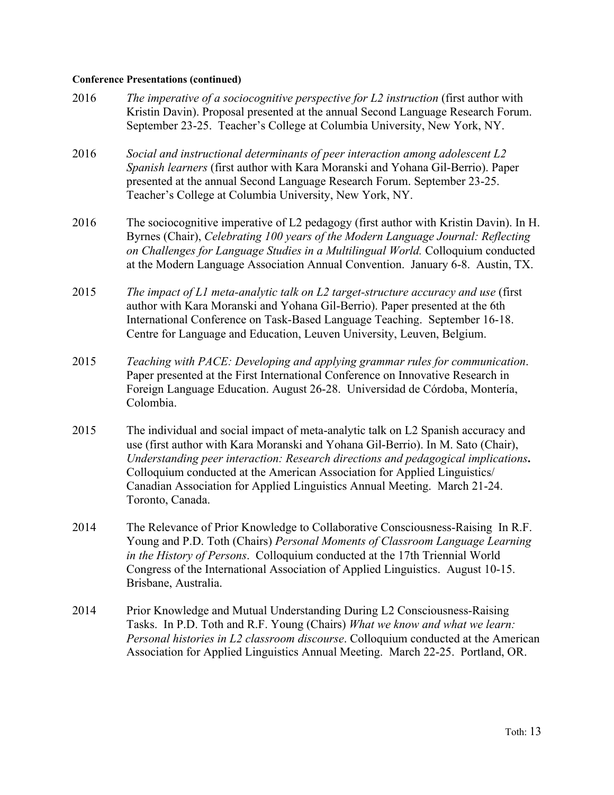| 2016 | The imperative of a sociocognitive perspective for $L2$ instruction (first author with<br>Kristin Davin). Proposal presented at the annual Second Language Research Forum.<br>September 23-25. Teacher's College at Columbia University, New York, NY.                                                                                                                                                                                   |
|------|------------------------------------------------------------------------------------------------------------------------------------------------------------------------------------------------------------------------------------------------------------------------------------------------------------------------------------------------------------------------------------------------------------------------------------------|
| 2016 | Social and instructional determinants of peer interaction among adolescent L2<br>Spanish learners (first author with Kara Moranski and Yohana Gil-Berrio). Paper<br>presented at the annual Second Language Research Forum. September 23-25.<br>Teacher's College at Columbia University, New York, NY.                                                                                                                                  |
| 2016 | The sociocognitive imperative of L2 pedagogy (first author with Kristin Davin). In H.<br>Byrnes (Chair), Celebrating 100 years of the Modern Language Journal: Reflecting<br>on Challenges for Language Studies in a Multilingual World. Colloquium conducted<br>at the Modern Language Association Annual Convention. January 6-8. Austin, TX.                                                                                          |
| 2015 | The impact of L1 meta-analytic talk on L2 target-structure accuracy and use (first<br>author with Kara Moranski and Yohana Gil-Berrio). Paper presented at the 6th<br>International Conference on Task-Based Language Teaching. September 16-18.<br>Centre for Language and Education, Leuven University, Leuven, Belgium.                                                                                                               |
| 2015 | Teaching with PACE: Developing and applying grammar rules for communication.<br>Paper presented at the First International Conference on Innovative Research in<br>Foreign Language Education. August 26-28. Universidad de Córdoba, Montería,<br>Colombia.                                                                                                                                                                              |
| 2015 | The individual and social impact of meta-analytic talk on L2 Spanish accuracy and<br>use (first author with Kara Moranski and Yohana Gil-Berrio). In M. Sato (Chair),<br>Understanding peer interaction: Research directions and pedagogical implications.<br>Colloquium conducted at the American Association for Applied Linguistics/<br>Canadian Association for Applied Linguistics Annual Meeting. March 21-24.<br>Toronto, Canada. |
| 2014 | The Relevance of Prior Knowledge to Collaborative Consciousness-Raising In R.F.<br>Young and P.D. Toth (Chairs) Personal Moments of Classroom Language Learning<br>in the History of Persons. Colloquium conducted at the 17th Triennial World<br>Congress of the International Association of Applied Linguistics. August 10-15.<br>Brisbane, Australia.                                                                                |
| 2014 | Prior Knowledge and Mutual Understanding During L2 Consciousness-Raising<br>Tasks. In P.D. Toth and R.F. Young (Chairs) What we know and what we learn:                                                                                                                                                                                                                                                                                  |

*Personal histories in L2 classroom discourse*. Colloquium conducted at the American Association for Applied Linguistics Annual Meeting. March 22-25. Portland, OR.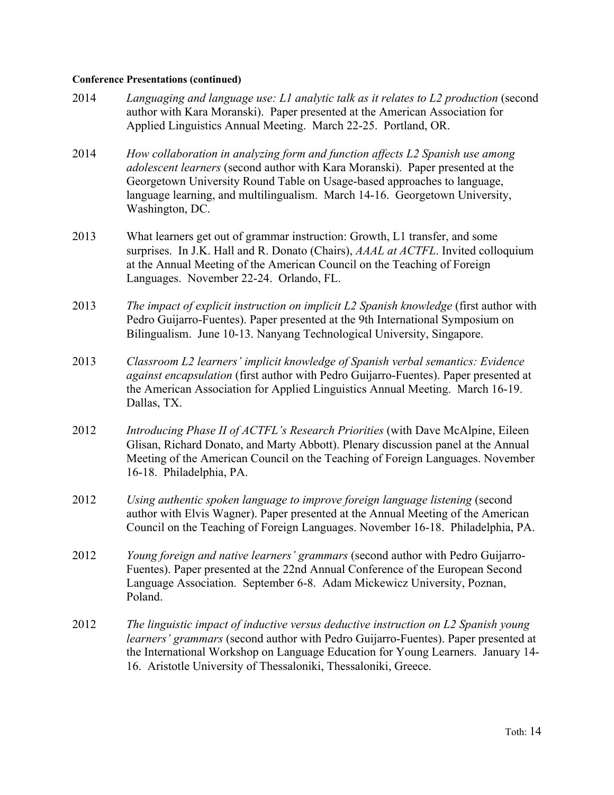- 2014 *Languaging and language use: L1 analytic talk as it relates to L2 production* (second author with Kara Moranski). Paper presented at the American Association for Applied Linguistics Annual Meeting. March 22-25. Portland, OR.
- 2014 *How collaboration in analyzing form and function affects L2 Spanish use among adolescent learners* (second author with Kara Moranski). Paper presented at the Georgetown University Round Table on Usage-based approaches to language, language learning, and multilingualism. March 14-16. Georgetown University, Washington, DC.
- 2013 What learners get out of grammar instruction: Growth, L1 transfer, and some surprises. In J.K. Hall and R. Donato (Chairs), *AAAL at ACTFL*. Invited colloquium at the Annual Meeting of the American Council on the Teaching of Foreign Languages. November 22-24. Orlando, FL.
- 2013 *The impact of explicit instruction on implicit L2 Spanish knowledge* (first author with Pedro Guijarro-Fuentes). Paper presented at the 9th International Symposium on Bilingualism. June 10-13. Nanyang Technological University, Singapore.
- 2013 *Classroom L2 learners' implicit knowledge of Spanish verbal semantics: Evidence against encapsulation* (first author with Pedro Guijarro-Fuentes). Paper presented at the American Association for Applied Linguistics Annual Meeting. March 16-19. Dallas, TX.
- 2012 *Introducing Phase II of ACTFL's Research Priorities* (with Dave McAlpine, Eileen Glisan, Richard Donato, and Marty Abbott). Plenary discussion panel at the Annual Meeting of the American Council on the Teaching of Foreign Languages. November 16-18. Philadelphia, PA.
- 2012 *Using authentic spoken language to improve foreign language listening* (second author with Elvis Wagner). Paper presented at the Annual Meeting of the American Council on the Teaching of Foreign Languages. November 16-18. Philadelphia, PA.
- 2012 *Young foreign and native learners' grammars* (second author with Pedro Guijarro-Fuentes). Paper presented at the 22nd Annual Conference of the European Second Language Association. September 6-8. Adam Mickewicz University, Poznan, Poland.
- 2012 *The linguistic impact of inductive versus deductive instruction on L2 Spanish young learners' grammars* (second author with Pedro Guijarro-Fuentes). Paper presented at the International Workshop on Language Education for Young Learners. January 14- 16. Aristotle University of Thessaloniki, Thessaloniki, Greece.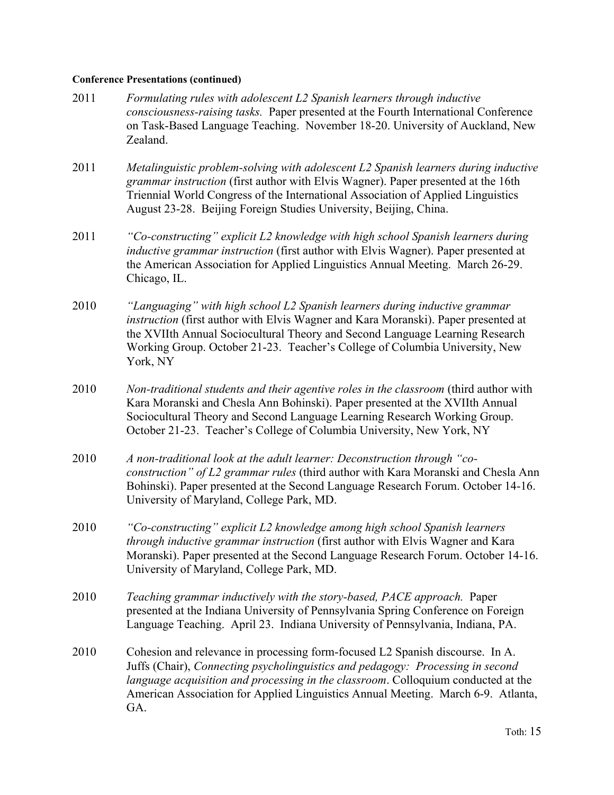- 2011 *Formulating rules with adolescent L2 Spanish learners through inductive consciousness-raising tasks.* Paper presented at the Fourth International Conference on Task-Based Language Teaching. November 18-20. University of Auckland, New Zealand.
- 2011 *Metalinguistic problem-solving with adolescent L2 Spanish learners during inductive grammar instruction* (first author with Elvis Wagner). Paper presented at the 16th Triennial World Congress of the International Association of Applied Linguistics August 23-28. Beijing Foreign Studies University, Beijing, China.
- 2011 *"Co-constructing" explicit L2 knowledge with high school Spanish learners during inductive grammar instruction* (first author with Elvis Wagner). Paper presented at the American Association for Applied Linguistics Annual Meeting. March 26-29. Chicago, IL.
- 2010 *"Languaging" with high school L2 Spanish learners during inductive grammar instruction* (first author with Elvis Wagner and Kara Moranski). Paper presented at the XVIIth Annual Sociocultural Theory and Second Language Learning Research Working Group. October 21-23. Teacher's College of Columbia University, New York, NY
- 2010 *Non-traditional students and their agentive roles in the classroom* (third author with Kara Moranski and Chesla Ann Bohinski). Paper presented at the XVIIth Annual Sociocultural Theory and Second Language Learning Research Working Group. October 21-23. Teacher's College of Columbia University, New York, NY
- 2010 *A non-traditional look at the adult learner: Deconstruction through "coconstruction" of L2 grammar rules* (third author with Kara Moranski and Chesla Ann Bohinski). Paper presented at the Second Language Research Forum. October 14-16. University of Maryland, College Park, MD.
- 2010 *"Co-constructing" explicit L2 knowledge among high school Spanish learners through inductive grammar instruction* (first author with Elvis Wagner and Kara Moranski). Paper presented at the Second Language Research Forum. October 14-16. University of Maryland, College Park, MD.
- 2010 *Teaching grammar inductively with the story-based, PACE approach.* Paper presented at the Indiana University of Pennsylvania Spring Conference on Foreign Language Teaching. April 23. Indiana University of Pennsylvania, Indiana, PA.
- 2010 Cohesion and relevance in processing form-focused L2 Spanish discourse. In A. Juffs (Chair), *Connecting psycholinguistics and pedagogy: Processing in second language acquisition and processing in the classroom*. Colloquium conducted at the American Association for Applied Linguistics Annual Meeting. March 6-9. Atlanta, GA.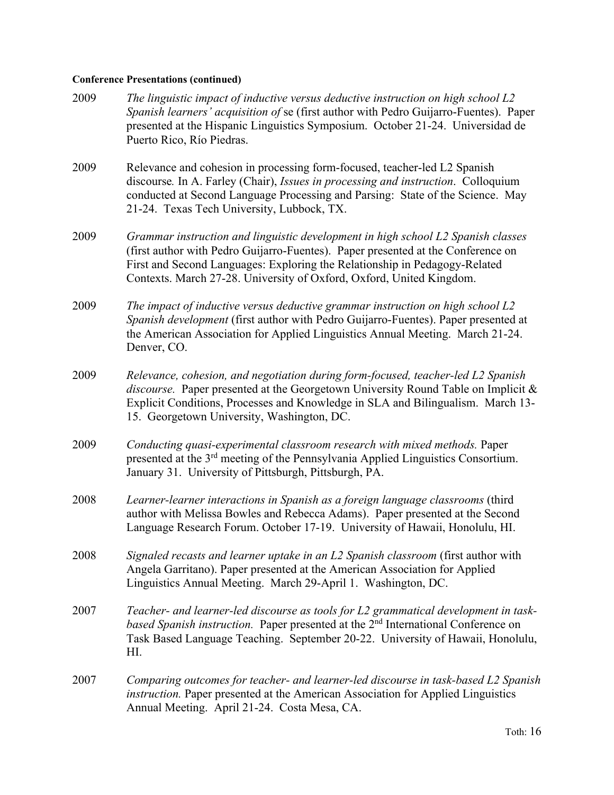| 2009 | The linguistic impact of inductive versus deductive instruction on high school L2<br>Spanish learners' acquisition of se (first author with Pedro Guijarro-Fuentes). Paper<br>presented at the Hispanic Linguistics Symposium. October 21-24. Universidad de<br>Puerto Rico, Río Piedras.                                  |
|------|----------------------------------------------------------------------------------------------------------------------------------------------------------------------------------------------------------------------------------------------------------------------------------------------------------------------------|
| 2009 | Relevance and cohesion in processing form-focused, teacher-led L2 Spanish<br>discourse. In A. Farley (Chair), Issues in processing and instruction. Colloquium<br>conducted at Second Language Processing and Parsing: State of the Science. May<br>21-24. Texas Tech University, Lubbock, TX.                             |
| 2009 | Grammar instruction and linguistic development in high school L2 Spanish classes<br>(first author with Pedro Guijarro-Fuentes). Paper presented at the Conference on<br>First and Second Languages: Exploring the Relationship in Pedagogy-Related<br>Contexts. March 27-28. University of Oxford, Oxford, United Kingdom. |
| 2009 | The impact of inductive versus deductive grammar instruction on high school L2<br>Spanish development (first author with Pedro Guijarro-Fuentes). Paper presented at<br>the American Association for Applied Linguistics Annual Meeting. March 21-24.<br>Denver, CO.                                                       |
| 2009 | Relevance, cohesion, and negotiation during form-focused, teacher-led L2 Spanish<br>discourse. Paper presented at the Georgetown University Round Table on Implicit &<br>Explicit Conditions, Processes and Knowledge in SLA and Bilingualism. March 13-<br>15. Georgetown University, Washington, DC.                     |
| 2009 | Conducting quasi-experimental classroom research with mixed methods. Paper<br>presented at the 3 <sup>rd</sup> meeting of the Pennsylvania Applied Linguistics Consortium.<br>January 31. University of Pittsburgh, Pittsburgh, PA.                                                                                        |
| 2008 | Learner-learner interactions in Spanish as a foreign language classrooms (third<br>author with Melissa Bowles and Rebecca Adams). Paper presented at the Second<br>Language Research Forum. October 17-19. University of Hawaii, Honolulu, HI.                                                                             |
| 2008 | Signaled recasts and learner uptake in an L2 Spanish classroom (first author with<br>Angela Garritano). Paper presented at the American Association for Applied<br>Linguistics Annual Meeting. March 29-April 1. Washington, DC.                                                                                           |
| 2007 | Teacher- and learner-led discourse as tools for L2 grammatical development in task-<br>based Spanish instruction. Paper presented at the 2 <sup>nd</sup> International Conference on<br>Task Based Language Teaching. September 20-22. University of Hawaii, Honolulu,<br>HI.                                              |
| 2007 | Comparing outcomes for teacher- and learner-led discourse in task-based L2 Spanish<br>instruction. Paper presented at the American Association for Applied Linguistics<br>Annual Meeting. April 21-24. Costa Mesa, CA.                                                                                                     |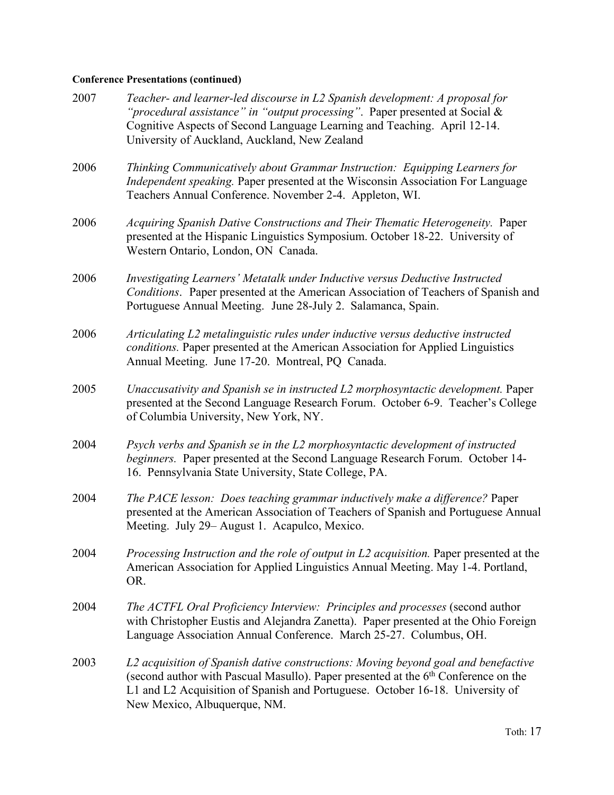| 2007 | Teacher- and learner-led discourse in L2 Spanish development: A proposal for<br>"procedural assistance" in "output processing". Paper presented at Social &<br>Cognitive Aspects of Second Language Learning and Teaching. April 12-14.<br>University of Auckland, Auckland, New Zealand              |
|------|-------------------------------------------------------------------------------------------------------------------------------------------------------------------------------------------------------------------------------------------------------------------------------------------------------|
| 2006 | Thinking Communicatively about Grammar Instruction: Equipping Learners for<br>Independent speaking. Paper presented at the Wisconsin Association For Language<br>Teachers Annual Conference. November 2-4. Appleton, WI.                                                                              |
| 2006 | Acquiring Spanish Dative Constructions and Their Thematic Heterogeneity. Paper<br>presented at the Hispanic Linguistics Symposium. October 18-22. University of<br>Western Ontario, London, ON Canada.                                                                                                |
| 2006 | Investigating Learners' Metatalk under Inductive versus Deductive Instructed<br>Conditions. Paper presented at the American Association of Teachers of Spanish and<br>Portuguese Annual Meeting. June 28-July 2. Salamanca, Spain.                                                                    |
| 2006 | Articulating L2 metalinguistic rules under inductive versus deductive instructed<br>conditions. Paper presented at the American Association for Applied Linguistics<br>Annual Meeting. June 17-20. Montreal, PQ Canada.                                                                               |
| 2005 | Unaccusativity and Spanish se in instructed L2 morphosyntactic development. Paper<br>presented at the Second Language Research Forum. October 6-9. Teacher's College<br>of Columbia University, New York, NY.                                                                                         |
| 2004 | Psych verbs and Spanish se in the L2 morphosyntactic development of instructed<br>beginners. Paper presented at the Second Language Research Forum. October 14-<br>16. Pennsylvania State University, State College, PA.                                                                              |
| 2004 | The PACE lesson: Does teaching grammar inductively make a difference? Paper<br>presented at the American Association of Teachers of Spanish and Portuguese Annual<br>Meeting. July 29– August 1. Acapulco, Mexico.                                                                                    |
| 2004 | Processing Instruction and the role of output in L2 acquisition. Paper presented at the<br>American Association for Applied Linguistics Annual Meeting. May 1-4. Portland,<br>OR.                                                                                                                     |
| 2004 | The ACTFL Oral Proficiency Interview: Principles and processes (second author<br>with Christopher Eustis and Alejandra Zanetta). Paper presented at the Ohio Foreign<br>Language Association Annual Conference. March 25-27. Columbus, OH.                                                            |
| 2003 | L2 acquisition of Spanish dative constructions: Moving beyond goal and benefactive<br>(second author with Pascual Masullo). Paper presented at the 6 <sup>th</sup> Conference on the<br>L1 and L2 Acquisition of Spanish and Portuguese. October 16-18. University of<br>New Mexico, Albuquerque, NM. |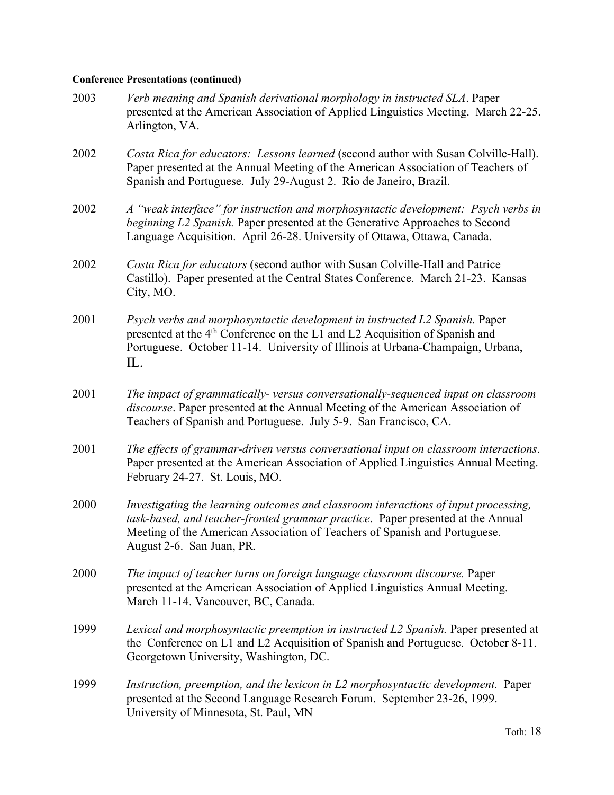| 2003 | Verb meaning and Spanish derivational morphology in instructed SLA. Paper<br>presented at the American Association of Applied Linguistics Meeting. March 22-25.<br>Arlington, VA.                                                                                                 |
|------|-----------------------------------------------------------------------------------------------------------------------------------------------------------------------------------------------------------------------------------------------------------------------------------|
| 2002 | Costa Rica for educators: Lessons learned (second author with Susan Colville-Hall).<br>Paper presented at the Annual Meeting of the American Association of Teachers of<br>Spanish and Portuguese. July 29-August 2. Rio de Janeiro, Brazil.                                      |
| 2002 | A "weak interface" for instruction and morphosyntactic development: Psych verbs in<br>beginning L2 Spanish. Paper presented at the Generative Approaches to Second<br>Language Acquisition. April 26-28. University of Ottawa, Ottawa, Canada.                                    |
| 2002 | Costa Rica for educators (second author with Susan Colville-Hall and Patrice<br>Castillo). Paper presented at the Central States Conference. March 21-23. Kansas<br>City, MO.                                                                                                     |
| 2001 | Psych verbs and morphosyntactic development in instructed L2 Spanish. Paper<br>presented at the 4 <sup>th</sup> Conference on the L1 and L2 Acquisition of Spanish and<br>Portuguese. October 11-14. University of Illinois at Urbana-Champaign, Urbana,<br>IL.                   |
| 2001 | The impact of grammatically-versus conversationally-sequenced input on classroom<br>discourse. Paper presented at the Annual Meeting of the American Association of<br>Teachers of Spanish and Portuguese. July 5-9. San Francisco, CA.                                           |
| 2001 | The effects of grammar-driven versus conversational input on classroom interactions.<br>Paper presented at the American Association of Applied Linguistics Annual Meeting.<br>February 24-27. St. Louis, MO.                                                                      |
| 2000 | Investigating the learning outcomes and classroom interactions of input processing,<br>task-based, and teacher-fronted grammar practice. Paper presented at the Annual<br>Meeting of the American Association of Teachers of Spanish and Portuguese.<br>August 2-6. San Juan, PR. |
| 2000 | The impact of teacher turns on foreign language classroom discourse. Paper<br>presented at the American Association of Applied Linguistics Annual Meeting.<br>March 11-14. Vancouver, BC, Canada.                                                                                 |
| 1999 | Lexical and morphosyntactic preemption in instructed L2 Spanish. Paper presented at<br>the Conference on L1 and L2 Acquisition of Spanish and Portuguese. October 8-11.<br>Georgetown University, Washington, DC.                                                                 |
| 1999 | Instruction, preemption, and the lexicon in L2 morphosyntactic development. Paper<br>presented at the Second Language Research Forum. September 23-26, 1999.<br>University of Minnesota, St. Paul, MN                                                                             |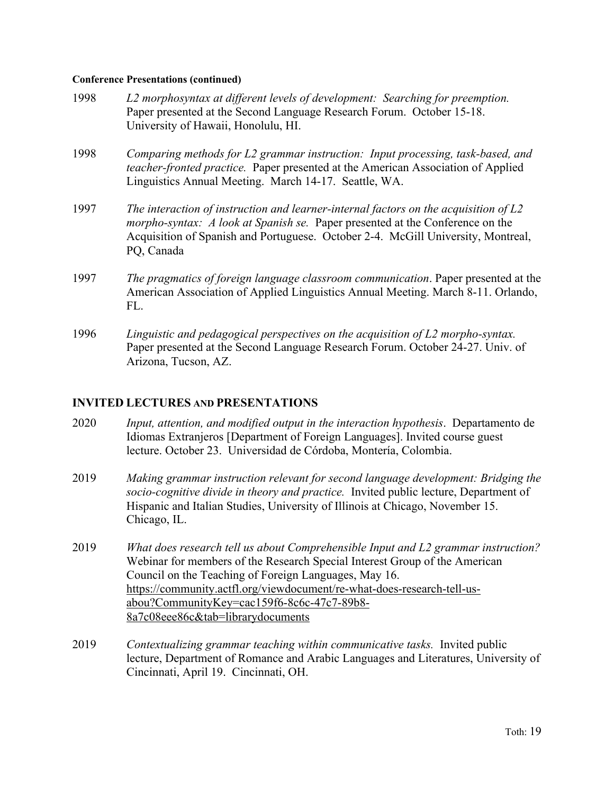- 1998 *L2 morphosyntax at different levels of development: Searching for preemption.*  Paper presented at the Second Language Research Forum. October 15-18. University of Hawaii, Honolulu, HI.
- 1998 *Comparing methods for L2 grammar instruction: Input processing, task-based, and teacher-fronted practice.* Paper presented at the American Association of Applied Linguistics Annual Meeting. March 14-17. Seattle, WA.
- 1997 *The interaction of instruction and learner-internal factors on the acquisition of L2 morpho-syntax: A look at Spanish se.* Paper presented at the Conference on the Acquisition of Spanish and Portuguese. October 2-4. McGill University, Montreal, PQ, Canada
- 1997 *The pragmatics of foreign language classroom communication*. Paper presented at the American Association of Applied Linguistics Annual Meeting. March 8-11. Orlando, FL.
- 1996 *Linguistic and pedagogical perspectives on the acquisition of L2 morpho-syntax.* Paper presented at the Second Language Research Forum. October 24-27. Univ. of Arizona, Tucson, AZ.

### **INVITED LECTURES AND PRESENTATIONS**

- 2020 *Input, attention, and modified output in the interaction hypothesis*. Departamento de Idiomas Extranjeros [Department of Foreign Languages]. Invited course guest lecture. October 23. Universidad de Córdoba, Montería, Colombia.
- 2019 *Making grammar instruction relevant for second language development: Bridging the socio-cognitive divide in theory and practice.* Invited public lecture, Department of Hispanic and Italian Studies, University of Illinois at Chicago, November 15. Chicago, IL.
- 2019 *What does research tell us about Comprehensible Input and L2 grammar instruction?*  Webinar for members of the Research Special Interest Group of the American Council on the Teaching of Foreign Languages, May 16. https://community.actfl.org/viewdocument/re-what-does-research-tell-usabou?CommunityKey=cac159f6-8c6c-47c7-89b8- 8a7c08eee86c&tab=librarydocuments
- 2019 *Contextualizing grammar teaching within communicative tasks.* Invited public lecture, Department of Romance and Arabic Languages and Literatures, University of Cincinnati, April 19. Cincinnati, OH.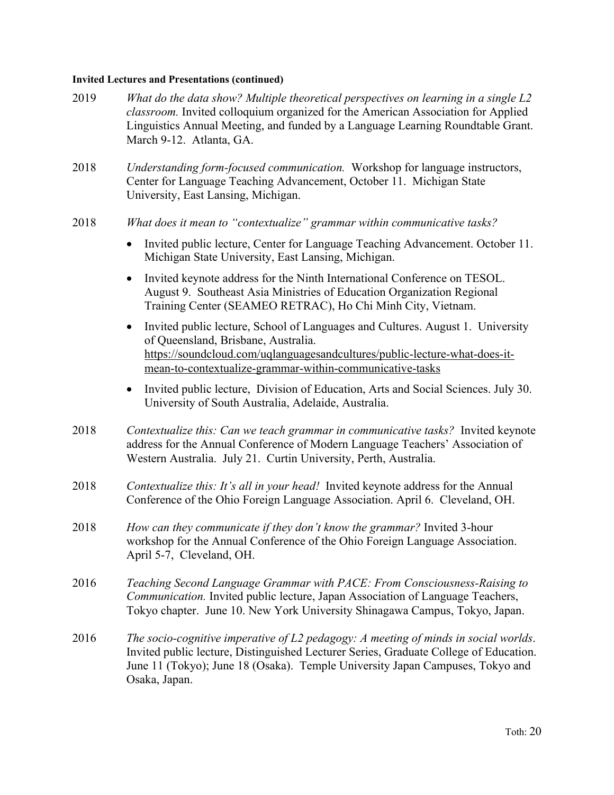### **Invited Lectures and Presentations (continued)**

- 2019 *What do the data show? Multiple theoretical perspectives on learning in a single L2 classroom.* Invited colloquium organized for the American Association for Applied Linguistics Annual Meeting, and funded by a Language Learning Roundtable Grant. March 9-12. Atlanta, GA.
- 2018 *Understanding form-focused communication.* Workshop for language instructors, Center for Language Teaching Advancement, October 11. Michigan State University, East Lansing, Michigan.
- 2018 *What does it mean to "contextualize" grammar within communicative tasks?*
	- Invited public lecture, Center for Language Teaching Advancement. October 11. Michigan State University, East Lansing, Michigan.
	- Invited keynote address for the Ninth International Conference on TESOL. August 9. Southeast Asia Ministries of Education Organization Regional Training Center (SEAMEO RETRAC), Ho Chi Minh City, Vietnam.
	- Invited public lecture, School of Languages and Cultures. August 1. University of Queensland, Brisbane, Australia. https://soundcloud.com/uqlanguagesandcultures/public-lecture-what-does-itmean-to-contextualize-grammar-within-communicative-tasks
	- Invited public lecture, Division of Education, Arts and Social Sciences. July 30. University of South Australia, Adelaide, Australia.
- 2018 *Contextualize this: Can we teach grammar in communicative tasks?* Invited keynote address for the Annual Conference of Modern Language Teachers' Association of Western Australia. July 21. Curtin University, Perth, Australia.
- 2018 *Contextualize this: It's all in your head!* Invited keynote address for the Annual Conference of the Ohio Foreign Language Association. April 6. Cleveland, OH.
- 2018 *How can they communicate if they don't know the grammar?* Invited 3-hour workshop for the Annual Conference of the Ohio Foreign Language Association. April 5-7, Cleveland, OH.
- 2016 *Teaching Second Language Grammar with PACE: From Consciousness-Raising to Communication.* Invited public lecture, Japan Association of Language Teachers, Tokyo chapter. June 10. New York University Shinagawa Campus, Tokyo, Japan.
- 2016 *The socio-cognitive imperative of L2 pedagogy: A meeting of minds in social worlds*. Invited public lecture, Distinguished Lecturer Series, Graduate College of Education. June 11 (Tokyo); June 18 (Osaka). Temple University Japan Campuses, Tokyo and Osaka, Japan.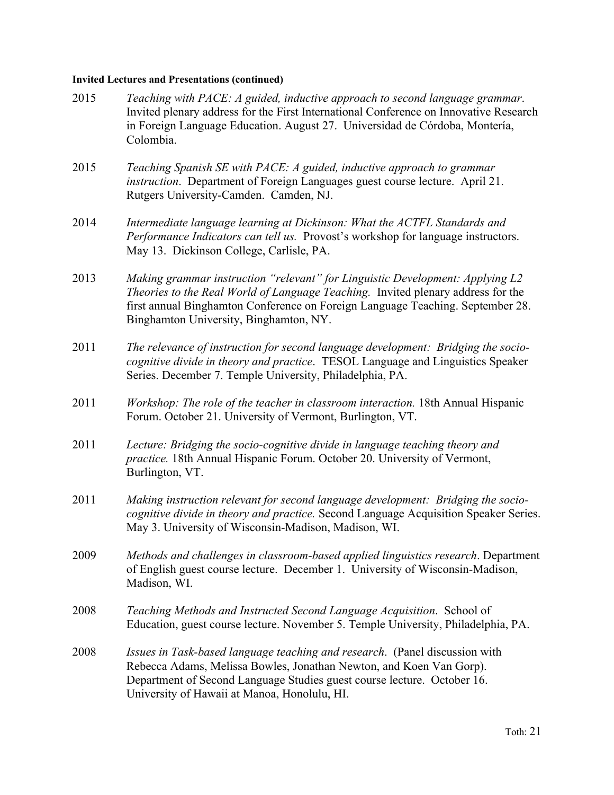## **Invited Lectures and Presentations (continued)**

| 2015 | Teaching with PACE: A guided, inductive approach to second language grammar.<br>Invited plenary address for the First International Conference on Innovative Research<br>in Foreign Language Education. August 27. Universidad de Córdoba, Montería,<br>Colombia.                             |
|------|-----------------------------------------------------------------------------------------------------------------------------------------------------------------------------------------------------------------------------------------------------------------------------------------------|
| 2015 | Teaching Spanish SE with PACE: A guided, inductive approach to grammar<br>instruction. Department of Foreign Languages guest course lecture. April 21.<br>Rutgers University-Camden. Camden, NJ.                                                                                              |
| 2014 | Intermediate language learning at Dickinson: What the ACTFL Standards and<br>Performance Indicators can tell us. Provost's workshop for language instructors.<br>May 13. Dickinson College, Carlisle, PA.                                                                                     |
| 2013 | Making grammar instruction "relevant" for Linguistic Development: Applying L2<br>Theories to the Real World of Language Teaching. Invited plenary address for the<br>first annual Binghamton Conference on Foreign Language Teaching. September 28.<br>Binghamton University, Binghamton, NY. |
| 2011 | The relevance of instruction for second language development: Bridging the socio-<br>cognitive divide in theory and practice. TESOL Language and Linguistics Speaker<br>Series. December 7. Temple University, Philadelphia, PA.                                                              |
| 2011 | Workshop: The role of the teacher in classroom interaction. 18th Annual Hispanic<br>Forum. October 21. University of Vermont, Burlington, VT.                                                                                                                                                 |
| 2011 | Lecture: Bridging the socio-cognitive divide in language teaching theory and<br>practice. 18th Annual Hispanic Forum. October 20. University of Vermont,<br>Burlington, VT.                                                                                                                   |
| 2011 | Making instruction relevant for second language development: Bridging the socio-<br>cognitive divide in theory and practice. Second Language Acquisition Speaker Series.<br>May 3. University of Wisconsin-Madison, Madison, WI.                                                              |
| 2009 | Methods and challenges in classroom-based applied linguistics research. Department<br>of English guest course lecture. December 1. University of Wisconsin-Madison,<br>Madison, WI.                                                                                                           |
| 2008 | Teaching Methods and Instructed Second Language Acquisition. School of<br>Education, guest course lecture. November 5. Temple University, Philadelphia, PA.                                                                                                                                   |
| 2008 | <i>Issues in Task-based language teaching and research.</i> (Panel discussion with<br>Rebecca Adams, Melissa Bowles, Jonathan Newton, and Koen Van Gorp).<br>Department of Second Language Studies guest course lecture. October 16.<br>University of Hawaii at Manoa, Honolulu, HI.          |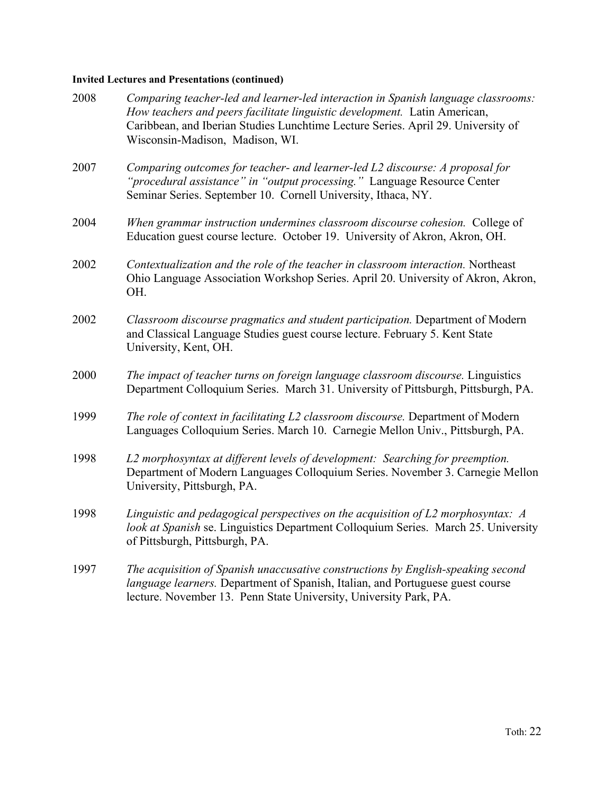## **Invited Lectures and Presentations (continued)**

| 2008 | Comparing teacher-led and learner-led interaction in Spanish language classrooms:<br>How teachers and peers facilitate linguistic development. Latin American,<br>Caribbean, and Iberian Studies Lunchtime Lecture Series. April 29. University of<br>Wisconsin-Madison, Madison, WI. |
|------|---------------------------------------------------------------------------------------------------------------------------------------------------------------------------------------------------------------------------------------------------------------------------------------|
| 2007 | Comparing outcomes for teacher- and learner-led L2 discourse: A proposal for<br>"procedural assistance" in "output processing." Language Resource Center<br>Seminar Series. September 10. Cornell University, Ithaca, NY.                                                             |
| 2004 | When grammar instruction undermines classroom discourse cohesion. College of<br>Education guest course lecture. October 19. University of Akron, Akron, OH.                                                                                                                           |
| 2002 | Contextualization and the role of the teacher in classroom interaction. Northeast<br>Ohio Language Association Workshop Series. April 20. University of Akron, Akron,<br>OH.                                                                                                          |
| 2002 | Classroom discourse pragmatics and student participation. Department of Modern<br>and Classical Language Studies guest course lecture. February 5. Kent State<br>University, Kent, OH.                                                                                                |
| 2000 | The impact of teacher turns on foreign language classroom discourse. Linguistics<br>Department Colloquium Series. March 31. University of Pittsburgh, Pittsburgh, PA.                                                                                                                 |
| 1999 | The role of context in facilitating L2 classroom discourse. Department of Modern<br>Languages Colloquium Series. March 10. Carnegie Mellon Univ., Pittsburgh, PA.                                                                                                                     |
| 1998 | L2 morphosyntax at different levels of development: Searching for preemption.<br>Department of Modern Languages Colloquium Series. November 3. Carnegie Mellon<br>University, Pittsburgh, PA.                                                                                         |
| 1998 | Linguistic and pedagogical perspectives on the acquisition of $L2$ morphosyntax: $A$<br>look at Spanish se. Linguistics Department Colloquium Series. March 25. University<br>of Pittsburgh, Pittsburgh, PA.                                                                          |
| 1997 | The acquisition of Spanish unaccusative constructions by English-speaking second<br>language learners. Department of Spanish, Italian, and Portuguese guest course<br>lecture. November 13. Penn State University, University Park, PA.                                               |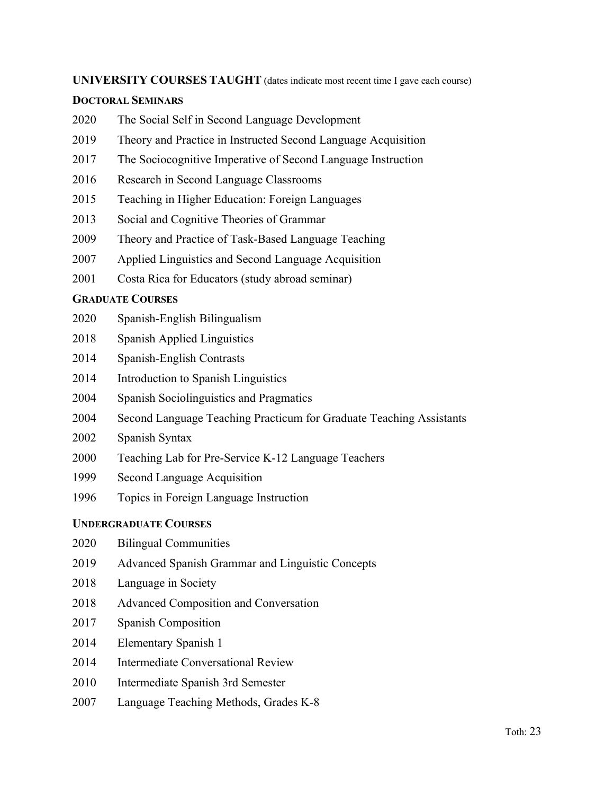### **UNIVERSITY COURSES TAUGHT** (dates indicate most recent time I gave each course)

### **DOCTORAL SEMINARS**

- The Social Self in Second Language Development
- Theory and Practice in Instructed Second Language Acquisition
- The Sociocognitive Imperative of Second Language Instruction
- Research in Second Language Classrooms
- Teaching in Higher Education: Foreign Languages
- Social and Cognitive Theories of Grammar
- Theory and Practice of Task-Based Language Teaching
- Applied Linguistics and Second Language Acquisition
- Costa Rica for Educators (study abroad seminar)

### **GRADUATE COURSES**

- Spanish-English Bilingualism
- Spanish Applied Linguistics
- Spanish-English Contrasts
- Introduction to Spanish Linguistics
- Spanish Sociolinguistics and Pragmatics
- Second Language Teaching Practicum for Graduate Teaching Assistants
- Spanish Syntax
- Teaching Lab for Pre-Service K-12 Language Teachers
- Second Language Acquisition
- Topics in Foreign Language Instruction

### **UNDERGRADUATE COURSES**

- Bilingual Communities
- Advanced Spanish Grammar and Linguistic Concepts
- Language in Society
- Advanced Composition and Conversation
- Spanish Composition
- Elementary Spanish 1
- Intermediate Conversational Review
- Intermediate Spanish 3rd Semester
- Language Teaching Methods, Grades K-8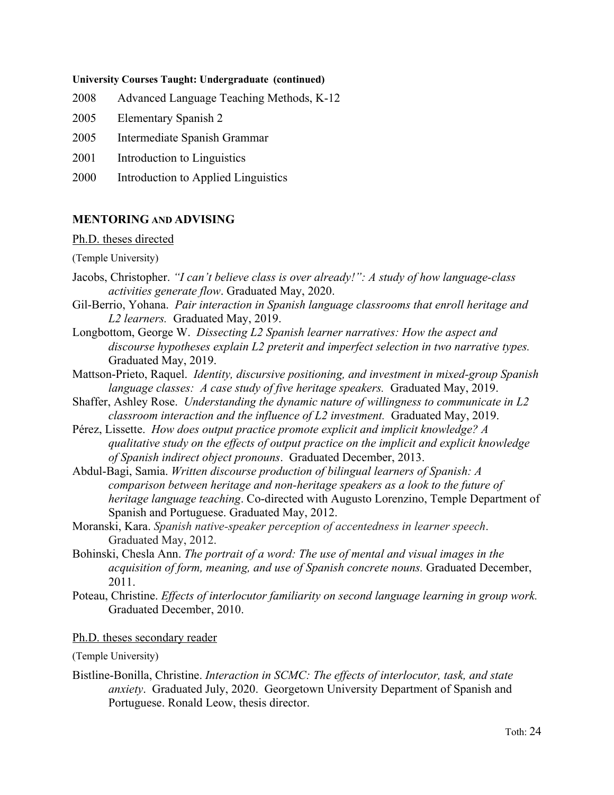#### **University Courses Taught: Undergraduate (continued)**

- 2008 Advanced Language Teaching Methods, K-12
- 2005 Elementary Spanish 2
- 2005 Intermediate Spanish Grammar
- 2001 Introduction to Linguistics
- 2000 Introduction to Applied Linguistics

### **MENTORING AND ADVISING**

### Ph.D. theses directed

(Temple University)

- Jacobs, Christopher. *"I can't believe class is over already!": A study of how language-class activities generate flow*. Graduated May, 2020.
- Gil-Berrio, Yohana. *Pair interaction in Spanish language classrooms that enroll heritage and L2 learners.* Graduated May, 2019.
- Longbottom, George W. *Dissecting L2 Spanish learner narratives: How the aspect and discourse hypotheses explain L2 preterit and imperfect selection in two narrative types.*  Graduated May, 2019.
- Mattson-Prieto, Raquel. *Identity, discursive positioning, and investment in mixed-group Spanish language classes: A case study of five heritage speakers.* Graduated May, 2019.
- Shaffer, Ashley Rose. *Understanding the dynamic nature of willingness to communicate in L2 classroom interaction and the influence of L2 investment.* Graduated May, 2019.
- Pérez, Lissette. *How does output practice promote explicit and implicit knowledge? A qualitative study on the effects of output practice on the implicit and explicit knowledge of Spanish indirect object pronouns*. Graduated December, 2013.
- Abdul-Bagi, Samia. *Written discourse production of bilingual learners of Spanish: A comparison between heritage and non-heritage speakers as a look to the future of heritage language teaching*. Co-directed with Augusto Lorenzino, Temple Department of Spanish and Portuguese. Graduated May, 2012.
- Moranski, Kara. *Spanish native-speaker perception of accentedness in learner speech*. Graduated May, 2012.
- Bohinski, Chesla Ann. *The portrait of a word: The use of mental and visual images in the acquisition of form, meaning, and use of Spanish concrete nouns.* Graduated December, 2011.
- Poteau, Christine. *Effects of interlocutor familiarity on second language learning in group work.* Graduated December, 2010.

Ph.D. theses secondary reader

(Temple University)

Bistline-Bonilla, Christine. *Interaction in SCMC: The effects of interlocutor, task, and state anxiety*. Graduated July, 2020. Georgetown University Department of Spanish and Portuguese. Ronald Leow, thesis director.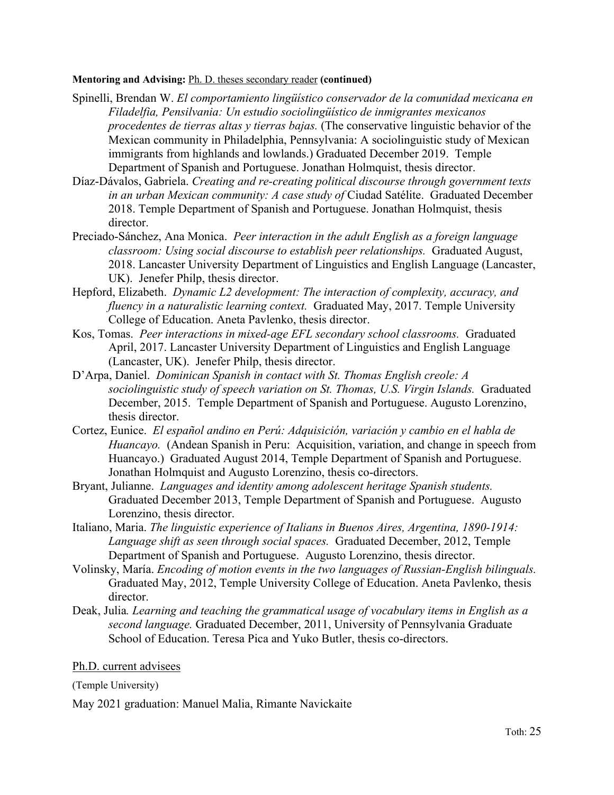### **Mentoring and Advising:** Ph. D. theses secondary reader **(continued)**

- Spinelli, Brendan W. *El comportamiento lingüístico conservador de la comunidad mexicana en Filadelfia, Pensilvania: Un estudio sociolingüístico de inmigrantes mexicanos procedentes de tierras altas y tierras bajas.* (The conservative linguistic behavior of the Mexican community in Philadelphia, Pennsylvania: A sociolinguistic study of Mexican immigrants from highlands and lowlands.) Graduated December 2019. Temple Department of Spanish and Portuguese. Jonathan Holmquist, thesis director.
- Díaz-Dávalos, Gabriela. *Creating and re-creating political discourse through government texts in an urban Mexican community: A case study of* Ciudad Satélite. Graduated December 2018. Temple Department of Spanish and Portuguese. Jonathan Holmquist, thesis director.
- Preciado-Sánchez, Ana Monica. *Peer interaction in the adult English as a foreign language classroom: Using social discourse to establish peer relationships.* Graduated August, 2018. Lancaster University Department of Linguistics and English Language (Lancaster, UK). Jenefer Philp, thesis director.
- Hepford, Elizabeth. *Dynamic L2 development: The interaction of complexity, accuracy, and fluency in a naturalistic learning context.* Graduated May, 2017. Temple University College of Education. Aneta Pavlenko, thesis director.
- Kos, Tomas. *Peer interactions in mixed-age EFL secondary school classrooms.* Graduated April, 2017. Lancaster University Department of Linguistics and English Language (Lancaster, UK). Jenefer Philp, thesis director.
- D'Arpa, Daniel. *Dominican Spanish in contact with St. Thomas English creole: A sociolinguistic study of speech variation on St. Thomas, U.S. Virgin Islands.* Graduated December, 2015. Temple Department of Spanish and Portuguese. Augusto Lorenzino, thesis director.
- Cortez, Eunice. *El español andino en Perú: Adquisición, variación y cambio en el habla de Huancayo.* (Andean Spanish in Peru: Acquisition, variation, and change in speech from Huancayo.) Graduated August 2014, Temple Department of Spanish and Portuguese. Jonathan Holmquist and Augusto Lorenzino, thesis co-directors.
- Bryant, Julianne. *Languages and identity among adolescent heritage Spanish students.* Graduated December 2013, Temple Department of Spanish and Portuguese. Augusto Lorenzino, thesis director.
- Italiano, Maria. *The linguistic experience of Italians in Buenos Aires, Argentina, 1890-1914: Language shift as seen through social spaces.* Graduated December, 2012, Temple Department of Spanish and Portuguese. Augusto Lorenzino, thesis director.
- Volinsky, María. *Encoding of motion events in the two languages of Russian-English bilinguals.* Graduated May, 2012, Temple University College of Education. Aneta Pavlenko, thesis director.
- Deak, Julia*. Learning and teaching the grammatical usage of vocabulary items in English as a second language.* Graduated December, 2011, University of Pennsylvania Graduate School of Education. Teresa Pica and Yuko Butler, thesis co-directors.

### Ph.D. current advisees

(Temple University)

May 2021 graduation: Manuel Malia, Rimante Navickaite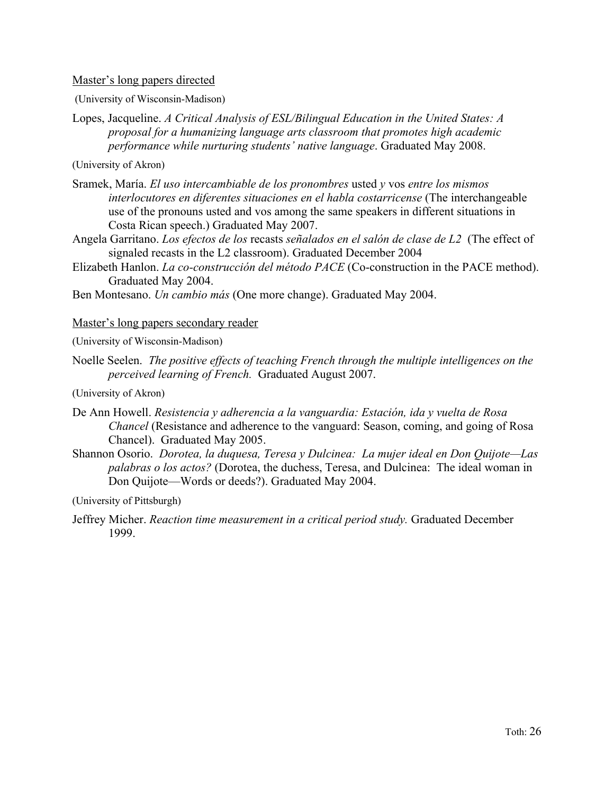### Master's long papers directed

(University of Wisconsin-Madison)

Lopes, Jacqueline. *A Critical Analysis of ESL/Bilingual Education in the United States: A proposal for a humanizing language arts classroom that promotes high academic performance while nurturing students' native language*. Graduated May 2008.

(University of Akron)

- Sramek, María. *El uso intercambiable de los pronombres* usted *y* vos *entre los mismos interlocutores en diferentes situaciones en el habla costarricense* (The interchangeable use of the pronouns usted and vos among the same speakers in different situations in Costa Rican speech.) Graduated May 2007.
- Angela Garritano. *Los efectos de los* recasts *señalados en el salón de clase de L2* (The effect of signaled recasts in the L2 classroom). Graduated December 2004
- Elizabeth Hanlon. *La co-construcción del método PACE* (Co-construction in the PACE method). Graduated May 2004.

Ben Montesano. *Un cambio más* (One more change). Graduated May 2004.

### Master's long papers secondary reader

(University of Wisconsin-Madison)

Noelle Seelen. *The positive effects of teaching French through the multiple intelligences on the perceived learning of French.* Graduated August 2007.

(University of Akron)

- De Ann Howell. *Resistencia y adherencia a la vanguardia: Estación, ida y vuelta de Rosa Chancel* (Resistance and adherence to the vanguard: Season, coming, and going of Rosa Chancel). Graduated May 2005.
- Shannon Osorio. *Dorotea, la duquesa, Teresa y Dulcinea: La mujer ideal en Don Quijote—Las palabras o los actos?* (Dorotea, the duchess, Teresa, and Dulcinea: The ideal woman in Don Quijote—Words or deeds?). Graduated May 2004.

(University of Pittsburgh)

Jeffrey Micher. *Reaction time measurement in a critical period study.* Graduated December 1999.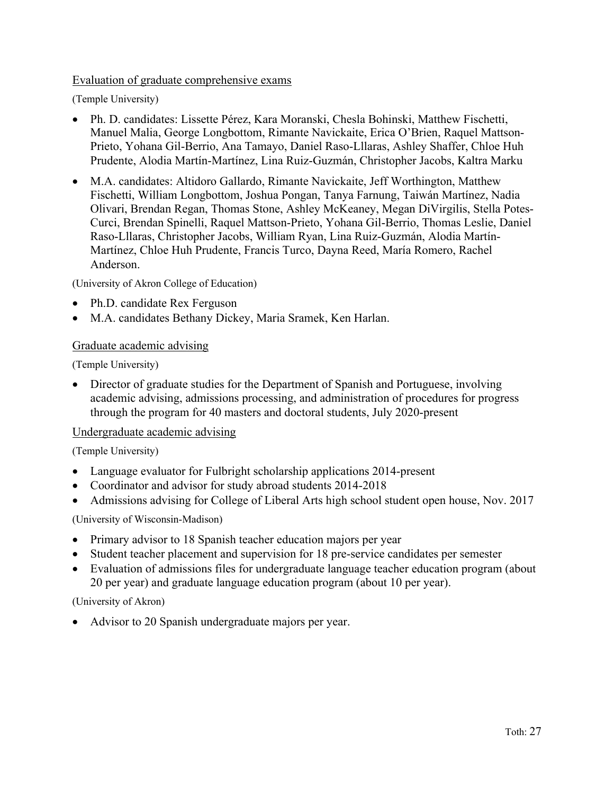## Evaluation of graduate comprehensive exams

(Temple University)

- Ph. D. candidates: Lissette Pérez, Kara Moranski, Chesla Bohinski, Matthew Fischetti, Manuel Malia, George Longbottom, Rimante Navickaite, Erica O'Brien, Raquel Mattson-Prieto, Yohana Gil-Berrio, Ana Tamayo, Daniel Raso-Lllaras, Ashley Shaffer, Chloe Huh Prudente, Alodia Martín-Martínez, Lina Ruiz-Guzmán, Christopher Jacobs, Kaltra Marku
- M.A. candidates: Altidoro Gallardo, Rimante Navickaite, Jeff Worthington, Matthew Fischetti, William Longbottom, Joshua Pongan, Tanya Farnung, Taiwán Martínez, Nadia Olivari, Brendan Regan, Thomas Stone, Ashley McKeaney, Megan DiVirgilis, Stella Potes-Curci, Brendan Spinelli, Raquel Mattson-Prieto, Yohana Gil-Berrio, Thomas Leslie, Daniel Raso-Lllaras, Christopher Jacobs, William Ryan, Lina Ruiz-Guzmán, Alodia Martín-Martínez, Chloe Huh Prudente, Francis Turco, Dayna Reed, María Romero, Rachel Anderson.

(University of Akron College of Education)

- Ph.D. candidate Rex Ferguson
- M.A. candidates Bethany Dickey, Maria Sramek, Ken Harlan.

## Graduate academic advising

(Temple University)

• Director of graduate studies for the Department of Spanish and Portuguese, involving academic advising, admissions processing, and administration of procedures for progress through the program for 40 masters and doctoral students, July 2020-present

### Undergraduate academic advising

(Temple University)

- Language evaluator for Fulbright scholarship applications 2014-present
- Coordinator and advisor for study abroad students 2014-2018
- Admissions advising for College of Liberal Arts high school student open house, Nov. 2017

(University of Wisconsin-Madison)

- Primary advisor to 18 Spanish teacher education majors per year
- Student teacher placement and supervision for 18 pre-service candidates per semester
- Evaluation of admissions files for undergraduate language teacher education program (about 20 per year) and graduate language education program (about 10 per year).

### (University of Akron)

• Advisor to 20 Spanish undergraduate majors per year.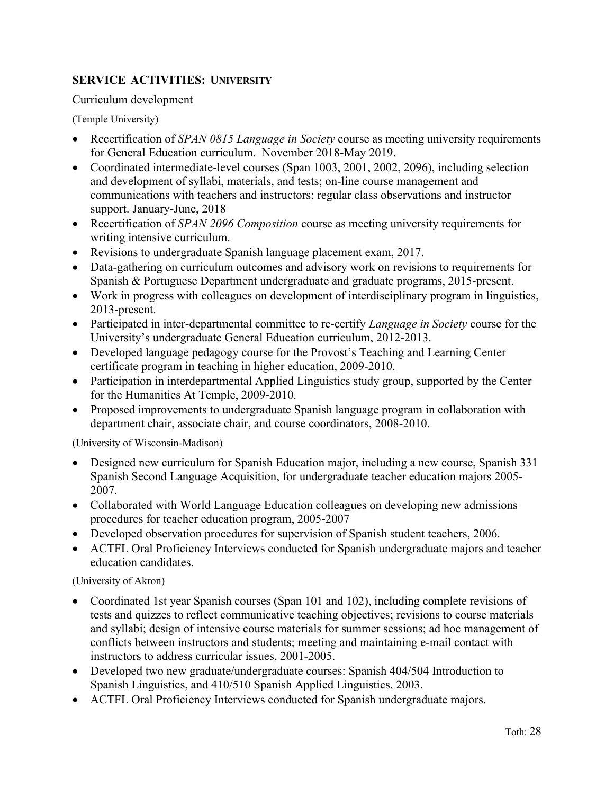## **SERVICE ACTIVITIES: UNIVERSITY**

### Curriculum development

(Temple University)

- Recertification of *SPAN 0815 Language in Society* course as meeting university requirements for General Education curriculum. November 2018-May 2019.
- Coordinated intermediate-level courses (Span 1003, 2001, 2002, 2096), including selection and development of syllabi, materials, and tests; on-line course management and communications with teachers and instructors; regular class observations and instructor support. January-June, 2018
- Recertification of *SPAN 2096 Composition* course as meeting university requirements for writing intensive curriculum.
- Revisions to undergraduate Spanish language placement exam, 2017.
- Data-gathering on curriculum outcomes and advisory work on revisions to requirements for Spanish & Portuguese Department undergraduate and graduate programs, 2015-present.
- Work in progress with colleagues on development of interdisciplinary program in linguistics, 2013-present.
- Participated in inter-departmental committee to re-certify *Language in Society* course for the University's undergraduate General Education curriculum, 2012-2013.
- Developed language pedagogy course for the Provost's Teaching and Learning Center certificate program in teaching in higher education, 2009-2010.
- Participation in interdepartmental Applied Linguistics study group, supported by the Center for the Humanities At Temple, 2009-2010.
- Proposed improvements to undergraduate Spanish language program in collaboration with department chair, associate chair, and course coordinators, 2008-2010.

(University of Wisconsin-Madison)

- Designed new curriculum for Spanish Education major, including a new course, Spanish 331 Spanish Second Language Acquisition, for undergraduate teacher education majors 2005- 2007.
- Collaborated with World Language Education colleagues on developing new admissions procedures for teacher education program, 2005-2007
- Developed observation procedures for supervision of Spanish student teachers, 2006.
- ACTFL Oral Proficiency Interviews conducted for Spanish undergraduate majors and teacher education candidates.

(University of Akron)

- Coordinated 1st year Spanish courses (Span 101 and 102), including complete revisions of tests and quizzes to reflect communicative teaching objectives; revisions to course materials and syllabi; design of intensive course materials for summer sessions; ad hoc management of conflicts between instructors and students; meeting and maintaining e-mail contact with instructors to address curricular issues, 2001-2005.
- Developed two new graduate/undergraduate courses: Spanish 404/504 Introduction to Spanish Linguistics, and 410/510 Spanish Applied Linguistics, 2003.
- ACTFL Oral Proficiency Interviews conducted for Spanish undergraduate majors.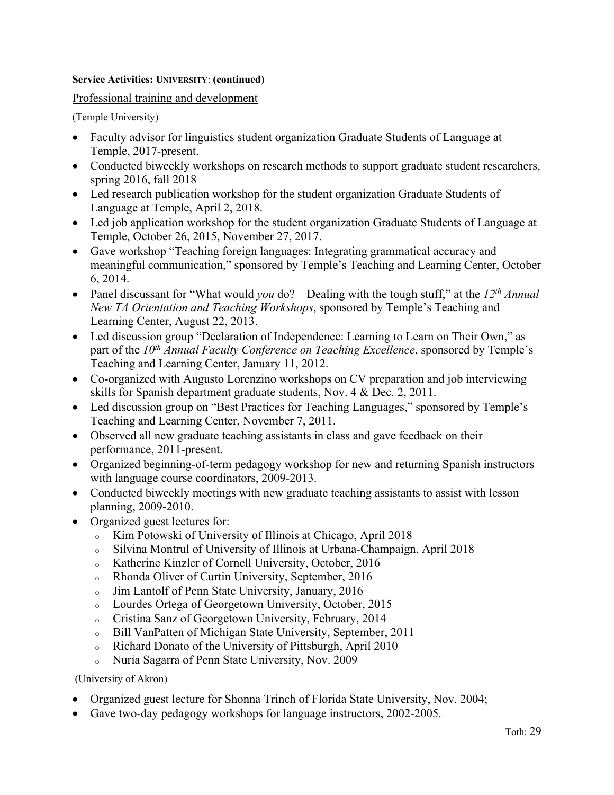### **Service Activities: UNIVERSITY**: **(continued)**

Professional training and development

(Temple University)

- Faculty advisor for linguistics student organization Graduate Students of Language at Temple, 2017-present.
- Conducted biweekly workshops on research methods to support graduate student researchers, spring 2016, fall 2018
- Led research publication workshop for the student organization Graduate Students of Language at Temple, April 2, 2018.
- Led job application workshop for the student organization Graduate Students of Language at Temple, October 26, 2015, November 27, 2017.
- Gave workshop "Teaching foreign languages: Integrating grammatical accuracy and meaningful communication," sponsored by Temple's Teaching and Learning Center, October 6, 2014.
- Panel discussant for "What would *you* do?—Dealing with the tough stuff," at the *12th Annual New TA Orientation and Teaching Workshops*, sponsored by Temple's Teaching and Learning Center, August 22, 2013.
- Led discussion group "Declaration of Independence: Learning to Learn on Their Own," as part of the 10<sup>th</sup> Annual Faculty Conference on Teaching Excellence, sponsored by Temple's Teaching and Learning Center, January 11, 2012.
- Co-organized with Augusto Lorenzino workshops on CV preparation and job interviewing skills for Spanish department graduate students, Nov. 4 & Dec. 2, 2011.
- Led discussion group on "Best Practices for Teaching Languages," sponsored by Temple's Teaching and Learning Center, November 7, 2011.
- Observed all new graduate teaching assistants in class and gave feedback on their performance, 2011-present.
- Organized beginning-of-term pedagogy workshop for new and returning Spanish instructors with language course coordinators, 2009-2013.
- Conducted biweekly meetings with new graduate teaching assistants to assist with lesson planning, 2009-2010.
- Organized guest lectures for:
	- <sup>o</sup> Kim Potowski of University of Illinois at Chicago, April 2018
	- <sup>o</sup> Silvina Montrul of University of Illinois at Urbana-Champaign, April 2018
	- <sup>o</sup> Katherine Kinzler of Cornell University, October, 2016
	- <sup>o</sup> Rhonda Oliver of Curtin University, September, 2016
	- <sup>o</sup> Jim Lantolf of Penn State University, January, 2016
	- <sup>o</sup> Lourdes Ortega of Georgetown University, October, 2015
	- <sup>o</sup> Cristina Sanz of Georgetown University, February, 2014
	- <sup>o</sup> Bill VanPatten of Michigan State University, September, 2011
	- <sup>o</sup> Richard Donato of the University of Pittsburgh, April 2010
	- <sup>o</sup> Nuria Sagarra of Penn State University, Nov. 2009

(University of Akron)

- Organized guest lecture for Shonna Trinch of Florida State University, Nov. 2004;
- Gave two-day pedagogy workshops for language instructors, 2002-2005.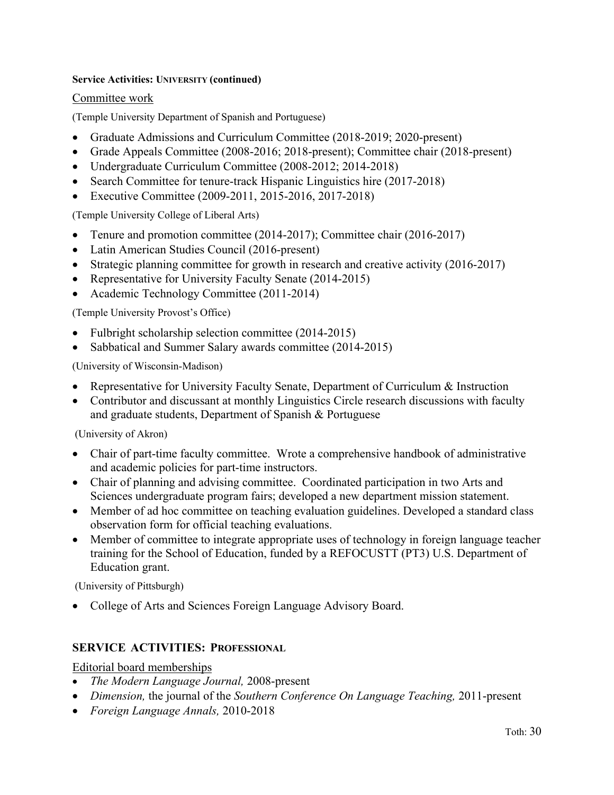### **Service Activities: UNIVERSITY (continued)**

### Committee work

(Temple University Department of Spanish and Portuguese)

- Graduate Admissions and Curriculum Committee (2018-2019; 2020-present)
- Grade Appeals Committee (2008-2016; 2018-present); Committee chair (2018-present)
- Undergraduate Curriculum Committee (2008-2012; 2014-2018)
- Search Committee for tenure-track Hispanic Linguistics hire (2017-2018)
- Executive Committee (2009-2011, 2015-2016, 2017-2018)

(Temple University College of Liberal Arts)

- Tenure and promotion committee (2014-2017); Committee chair (2016-2017)
- Latin American Studies Council (2016-present)
- Strategic planning committee for growth in research and creative activity (2016-2017)
- Representative for University Faculty Senate (2014-2015)
- Academic Technology Committee (2011-2014)

(Temple University Provost's Office)

- Fulbright scholarship selection committee (2014-2015)
- Sabbatical and Summer Salary awards committee (2014-2015)

(University of Wisconsin-Madison)

- Representative for University Faculty Senate, Department of Curriculum & Instruction
- Contributor and discussant at monthly Linguistics Circle research discussions with faculty and graduate students, Department of Spanish & Portuguese

(University of Akron)

- Chair of part-time faculty committee. Wrote a comprehensive handbook of administrative and academic policies for part-time instructors.
- Chair of planning and advising committee. Coordinated participation in two Arts and Sciences undergraduate program fairs; developed a new department mission statement.
- Member of ad hoc committee on teaching evaluation guidelines. Developed a standard class observation form for official teaching evaluations.
- Member of committee to integrate appropriate uses of technology in foreign language teacher training for the School of Education, funded by a REFOCUSTT (PT3) U.S. Department of Education grant.

(University of Pittsburgh)

• College of Arts and Sciences Foreign Language Advisory Board.

### **SERVICE ACTIVITIES: PROFESSIONAL**

### Editorial board memberships

- *The Modern Language Journal,* 2008-present
- *Dimension,* the journal of the *Southern Conference On Language Teaching,* 2011-present
- *Foreign Language Annals,* 2010-2018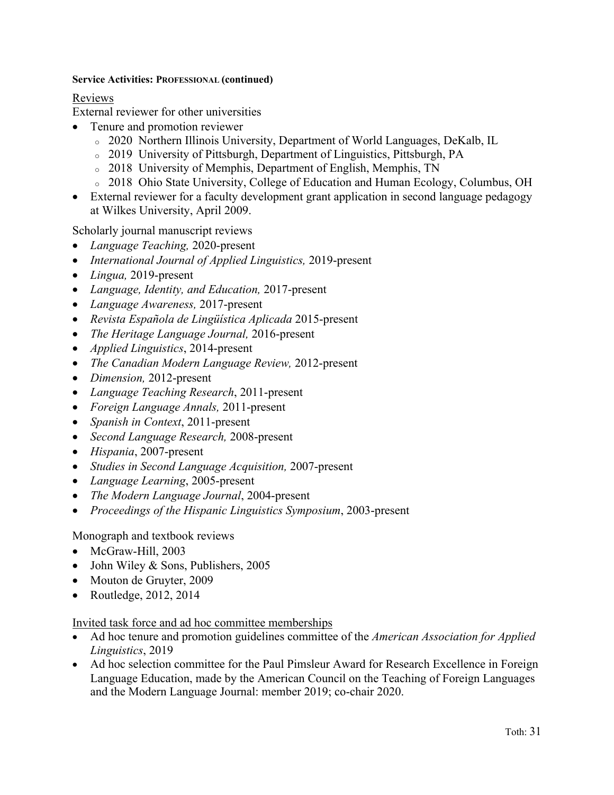### **Service Activities: PROFESSIONAL (continued)**

## Reviews

External reviewer for other universities

- Tenure and promotion reviewer
	- <sup>o</sup> 2020 Northern Illinois University, Department of World Languages, DeKalb, IL
	- <sup>o</sup> 2019 University of Pittsburgh, Department of Linguistics, Pittsburgh, PA
	- <sup>o</sup> 2018 University of Memphis, Department of English, Memphis, TN
	- <sup>o</sup> 2018 Ohio State University, College of Education and Human Ecology, Columbus, OH
- External reviewer for a faculty development grant application in second language pedagogy at Wilkes University, April 2009.

Scholarly journal manuscript reviews

- *Language Teaching,* 2020-present
- *International Journal of Applied Linguistics,* 2019-present
- *Lingua,* 2019-present
- *Language, Identity, and Education,* 2017-present
- *Language Awareness,* 2017-present
- *Revista Española de Lingüística Aplicada* 2015-present
- *The Heritage Language Journal,* 2016-present
- *Applied Linguistics*, 2014-present
- *The Canadian Modern Language Review,* 2012-present
- *Dimension,* 2012-present
- *Language Teaching Research*, 2011-present
- *Foreign Language Annals,* 2011-present
- *Spanish in Context*, 2011-present
- *Second Language Research,* 2008-present
- *Hispania*, 2007-present
- *Studies in Second Language Acquisition,* 2007-present
- *Language Learning*, 2005-present
- *The Modern Language Journal*, 2004-present
- *Proceedings of the Hispanic Linguistics Symposium*, 2003-present

Monograph and textbook reviews

- McGraw-Hill, 2003
- John Wiley & Sons, Publishers, 2005
- Mouton de Gruyter, 2009
- Routledge, 2012, 2014

### Invited task force and ad hoc committee memberships

- Ad hoc tenure and promotion guidelines committee of the *American Association for Applied Linguistics*, 2019
- Ad hoc selection committee for the Paul Pimsleur Award for Research Excellence in Foreign Language Education, made by the American Council on the Teaching of Foreign Languages and the Modern Language Journal: member 2019; co-chair 2020.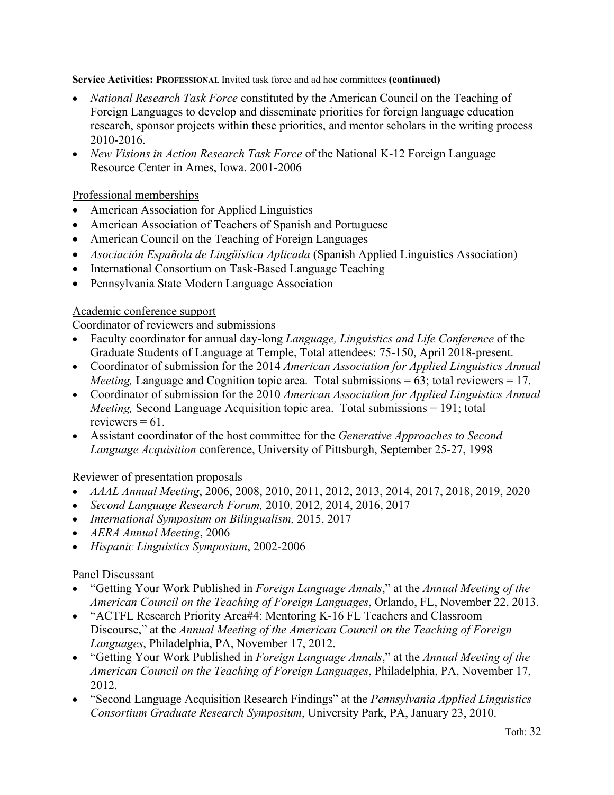## **Service Activities: PROFESSIONAL** Invited task force and ad hoc committees **(continued)**

- *National Research Task Force* constituted by the American Council on the Teaching of Foreign Languages to develop and disseminate priorities for foreign language education research, sponsor projects within these priorities, and mentor scholars in the writing process 2010-2016.
- *New Visions in Action Research Task Force* of the National K-12 Foreign Language Resource Center in Ames, Iowa. 2001-2006

## Professional memberships

- American Association for Applied Linguistics
- American Association of Teachers of Spanish and Portuguese
- American Council on the Teaching of Foreign Languages
- *Asociación Española de Lingüística Aplicada* (Spanish Applied Linguistics Association)
- International Consortium on Task-Based Language Teaching
- Pennsylvania State Modern Language Association

## Academic conference support

Coordinator of reviewers and submissions

- Faculty coordinator for annual day-long *Language, Linguistics and Life Conference* of the Graduate Students of Language at Temple, Total attendees: 75-150, April 2018-present.
- Coordinator of submission for the 2014 *American Association for Applied Linguistics Annual Meeting,* Language and Cognition topic area. Total submissions = 63; total reviewers = 17.
- Coordinator of submission for the 2010 *American Association for Applied Linguistics Annual Meeting,* Second Language Acquisition topic area. Total submissions = 191; total reviewers  $= 61$ .
- Assistant coordinator of the host committee for the *Generative Approaches to Second Language Acquisition* conference, University of Pittsburgh, September 25-27, 1998

Reviewer of presentation proposals

- *AAAL Annual Meeting*, 2006, 2008, 2010, 2011, 2012, 2013, 2014, 2017, 2018, 2019, 2020
- *Second Language Research Forum,* 2010, 2012, 2014, 2016, 2017
- *International Symposium on Bilingualism,* 2015, 2017
- *AERA Annual Meeting*, 2006
- *Hispanic Linguistics Symposium*, 2002-2006

## Panel Discussant

- "Getting Your Work Published in *Foreign Language Annals*," at the *Annual Meeting of the American Council on the Teaching of Foreign Languages*, Orlando, FL, November 22, 2013.
- "ACTFL Research Priority Area#4: Mentoring K-16 FL Teachers and Classroom Discourse," at the *Annual Meeting of the American Council on the Teaching of Foreign Languages*, Philadelphia, PA, November 17, 2012.
- "Getting Your Work Published in *Foreign Language Annals*," at the *Annual Meeting of the American Council on the Teaching of Foreign Languages*, Philadelphia, PA, November 17, 2012.
- "Second Language Acquisition Research Findings" at the *Pennsylvania Applied Linguistics Consortium Graduate Research Symposium*, University Park, PA, January 23, 2010.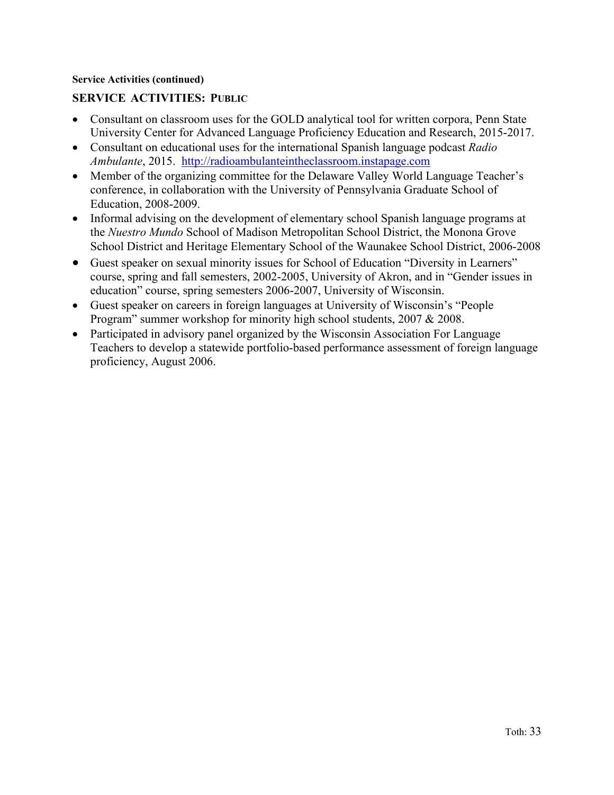### **Service Activities (continued)**

## **SERVICE ACTIVITIES: PUBLIC**

- Consultant on classroom uses for the GOLD analytical tool for written corpora, Penn State University Center for Advanced Language Proficiency Education and Research, 2015-2017.
- Consultant on educational uses for the international Spanish language podcast *Radio Ambulante*, 2015. http://radioambulanteintheclassroom.instapage.com
- Member of the organizing committee for the Delaware Valley World Language Teacher's conference, in collaboration with the University of Pennsylvania Graduate School of Education, 2008-2009.
- Informal advising on the development of elementary school Spanish language programs at the *Nuestro Mundo* School of Madison Metropolitan School District, the Monona Grove School District and Heritage Elementary School of the Waunakee School District, 2006-2008
- Guest speaker on sexual minority issues for School of Education "Diversity in Learners" course, spring and fall semesters, 2002-2005, University of Akron, and in "Gender issues in education" course, spring semesters 2006-2007, University of Wisconsin.
- Guest speaker on careers in foreign languages at University of Wisconsin's "People Program" summer workshop for minority high school students, 2007 & 2008.
- Participated in advisory panel organized by the Wisconsin Association For Language Teachers to develop a statewide portfolio-based performance assessment of foreign language proficiency, August 2006.